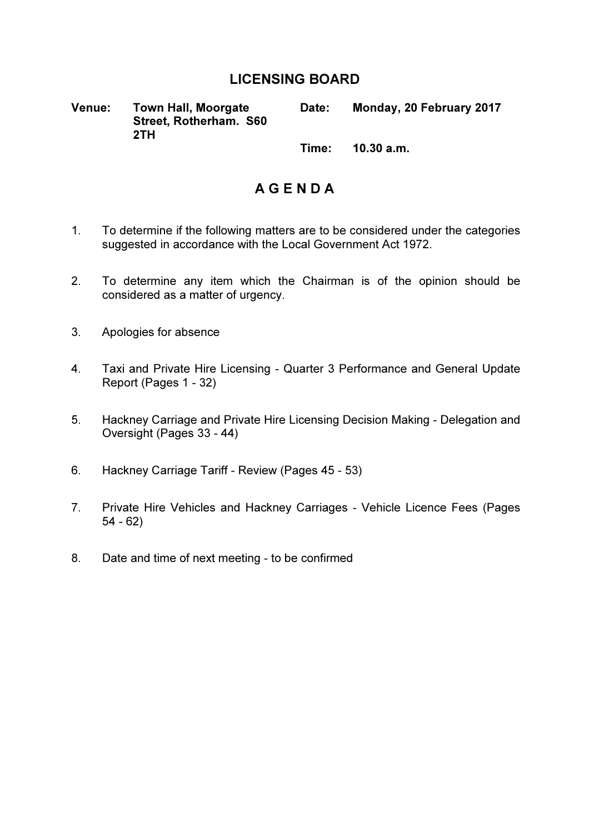## LICENSING BOARD

Venue: Town Hall, Moorgate Street, Rotherham. S60 2TH

Date: Monday, 20 February 2017

Time: 10.30 a.m.

## A G E N D A

- 1. To determine if the following matters are to be considered under the categories suggested in accordance with the Local Government Act 1972.
- 2. To determine any item which the Chairman is of the opinion should be considered as a matter of urgency.
- 3. Apologies for absence
- 4. Taxi and Private Hire Licensing Quarter 3 Performance and General Update Report (Pages 1 - 32)
- 5. Hackney Carriage and Private Hire Licensing Decision Making Delegation and Oversight (Pages 33 - 44)
- 6. Hackney Carriage Tariff Review (Pages 45 53)
- 7. Private Hire Vehicles and Hackney Carriages Vehicle Licence Fees (Pages 54 - 62)
- 8. Date and time of next meeting to be confirmed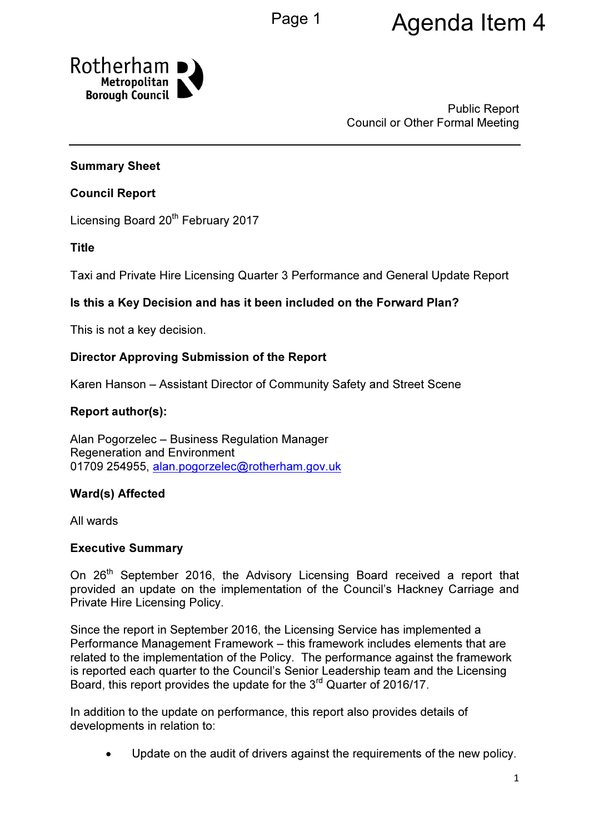# Page 1 **Agenda Item 4**



Public Report Council or Other Formal Meeting

## Summary Sheet

## Council Report

Licensing Board 20<sup>th</sup> February 2017

Title

Taxi and Private Hire Licensing Quarter 3 Performance and General Update Report

## Is this a Key Decision and has it been included on the Forward Plan?

This is not a key decision.

## Director Approving Submission of the Report

Karen Hanson – Assistant Director of Community Safety and Street Scene

## Report author(s):

Alan Pogorzelec – Business Regulation Manager Regeneration and Environment 01709 254955, alan.pogorzelec@rotherham.gov.uk

## Ward(s) Affected

All wards

#### Executive Summary

On 26<sup>th</sup> September 2016, the Advisory Licensing Board received a report that provided an update on the implementation of the Council's Hackney Carriage and Private Hire Licensing Policy.

Since the report in September 2016, the Licensing Service has implemented a Performance Management Framework – this framework includes elements that are related to the implementation of the Policy. The performance against the framework is reported each quarter to the Council's Senior Leadership team and the Licensing Board, this report provides the update for the 3<sup>rd</sup> Quarter of 2016/17.

In addition to the update on performance, this report also provides details of developments in relation to:

Update on the audit of drivers against the requirements of the new policy.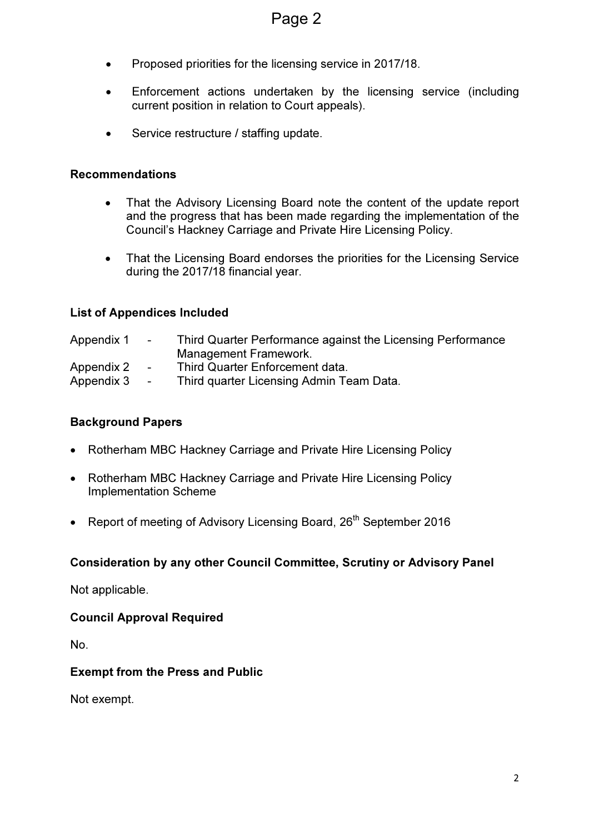- Proposed priorities for the licensing service in 2017/18.
- Enforcement actions undertaken by the licensing service (including current position in relation to Court appeals).
- Service restructure / staffing update.

#### Recommendations

- That the Advisory Licensing Board note the content of the update report and the progress that has been made regarding the implementation of the Council's Hackney Carriage and Private Hire Licensing Policy.
- That the Licensing Board endorses the priorities for the Licensing Service during the 2017/18 financial year.

## List of Appendices Included

| Appendix 1 | $\sim$ $\sim$ | Third Quarter Performance against the Licensing Performance |
|------------|---------------|-------------------------------------------------------------|
|            |               | Management Framework.                                       |
| Appendix 2 | $\sim$        | Third Quarter Enforcement data.                             |
| Appendix 3 | $\sim$        | Third quarter Licensing Admin Team Data.                    |

## Background Papers

- Rotherham MBC Hackney Carriage and Private Hire Licensing Policy
- Rotherham MBC Hackney Carriage and Private Hire Licensing Policy Implementation Scheme
- Report of meeting of Advisory Licensing Board, 26<sup>th</sup> September 2016

## Consideration by any other Council Committee, Scrutiny or Advisory Panel

Not applicable.

#### Council Approval Required

No.

#### Exempt from the Press and Public

Not exempt.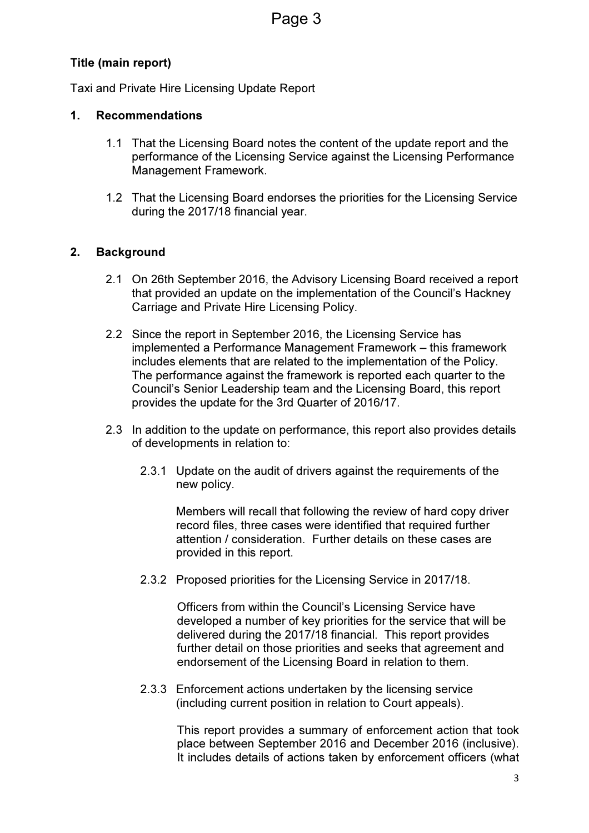## Title (main report)

Taxi and Private Hire Licensing Update Report

## 1. Recommendations

- 1.1 That the Licensing Board notes the content of the update report and the performance of the Licensing Service against the Licensing Performance Management Framework.
- 1.2 That the Licensing Board endorses the priorities for the Licensing Service during the 2017/18 financial year.

## 2. Background

- 2.1 On 26th September 2016, the Advisory Licensing Board received a report that provided an update on the implementation of the Council's Hackney Carriage and Private Hire Licensing Policy.
- 2.2 Since the report in September 2016, the Licensing Service has implemented a Performance Management Framework – this framework includes elements that are related to the implementation of the Policy. The performance against the framework is reported each quarter to the Council's Senior Leadership team and the Licensing Board, this report provides the update for the 3rd Quarter of 2016/17.
- 2.3 In addition to the update on performance, this report also provides details of developments in relation to:
	- 2.3.1 Update on the audit of drivers against the requirements of the new policy.

Members will recall that following the review of hard copy driver record files, three cases were identified that required further attention / consideration. Further details on these cases are provided in this report.

2.3.2 Proposed priorities for the Licensing Service in 2017/18.

Officers from within the Council's Licensing Service have developed a number of key priorities for the service that will be delivered during the 2017/18 financial. This report provides further detail on those priorities and seeks that agreement and endorsement of the Licensing Board in relation to them.

2.3.3 Enforcement actions undertaken by the licensing service (including current position in relation to Court appeals).

> This report provides a summary of enforcement action that took place between September 2016 and December 2016 (inclusive). It includes details of actions taken by enforcement officers (what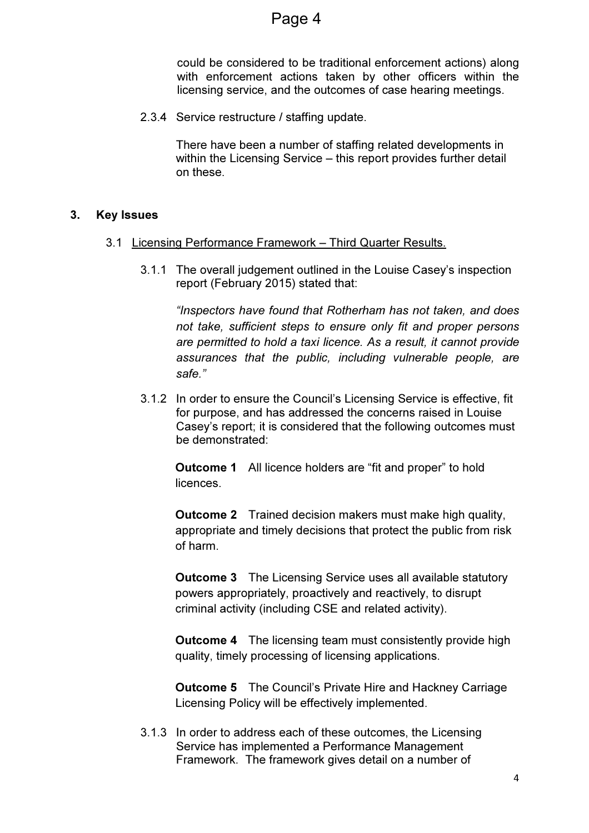could be considered to be traditional enforcement actions) along with enforcement actions taken by other officers within the licensing service, and the outcomes of case hearing meetings.

2.3.4 Service restructure / staffing update.

There have been a number of staffing related developments in within the Licensing Service – this report provides further detail on these.

## 3. Key Issues

- 3.1 Licensing Performance Framework Third Quarter Results.
	- 3.1.1 The overall judgement outlined in the Louise Casey's inspection report (February 2015) stated that:

"Inspectors have found that Rotherham has not taken, and does not take, sufficient steps to ensure only fit and proper persons are permitted to hold a taxi licence. As a result, it cannot provide assurances that the public, including vulnerable people, are safe."

3.1.2 In order to ensure the Council's Licensing Service is effective, fit for purpose, and has addressed the concerns raised in Louise Casey's report; it is considered that the following outcomes must be demonstrated:

**Outcome 1** All licence holders are "fit and proper" to hold **licences** 

**Outcome 2** Trained decision makers must make high quality, appropriate and timely decisions that protect the public from risk of harm.

**Outcome 3** The Licensing Service uses all available statutory powers appropriately, proactively and reactively, to disrupt criminal activity (including CSE and related activity).

**Outcome 4** The licensing team must consistently provide high quality, timely processing of licensing applications.

Outcome 5 The Council's Private Hire and Hackney Carriage Licensing Policy will be effectively implemented.

3.1.3 In order to address each of these outcomes, the Licensing Service has implemented a Performance Management Framework. The framework gives detail on a number of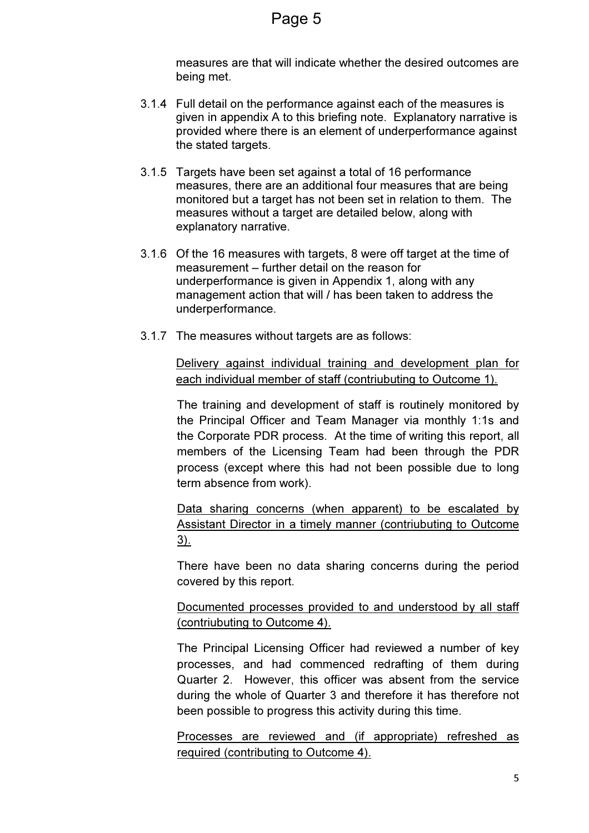measures are that will indicate whether the desired outcomes are being met.

- 3.1.4 Full detail on the performance against each of the measures is given in appendix A to this briefing note. Explanatory narrative is provided where there is an element of underperformance against the stated targets.
- 3.1.5 Targets have been set against a total of 16 performance measures, there are an additional four measures that are being monitored but a target has not been set in relation to them. The measures without a target are detailed below, along with explanatory narrative.
- 3.1.6 Of the 16 measures with targets, 8 were off target at the time of measurement – further detail on the reason for underperformance is given in Appendix 1, along with any management action that will / has been taken to address the underperformance.
- 3.1.7 The measures without targets are as follows:

Delivery against individual training and development plan for each individual member of staff (contriubuting to Outcome 1).

The training and development of staff is routinely monitored by the Principal Officer and Team Manager via monthly 1:1s and the Corporate PDR process. At the time of writing this report, all members of the Licensing Team had been through the PDR process (except where this had not been possible due to long term absence from work).

Data sharing concerns (when apparent) to be escalated by Assistant Director in a timely manner (contriubuting to Outcome 3).

There have been no data sharing concerns during the period covered by this report.

Documented processes provided to and understood by all staff (contriubuting to Outcome 4).

The Principal Licensing Officer had reviewed a number of key processes, and had commenced redrafting of them during Quarter 2. However, this officer was absent from the service during the whole of Quarter 3 and therefore it has therefore not been possible to progress this activity during this time.

Processes are reviewed and (if appropriate) refreshed as required (contributing to Outcome 4).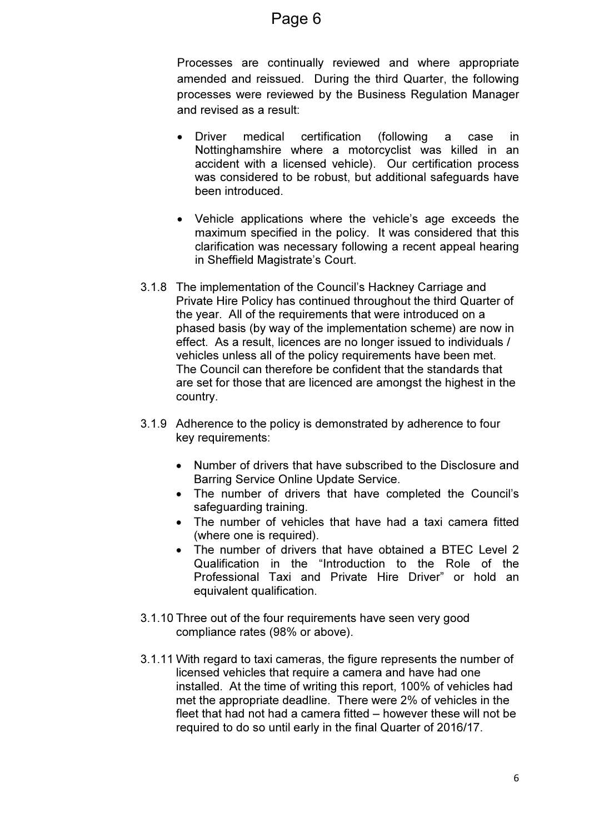## Page 6

Processes are continually reviewed and where appropriate amended and reissued. During the third Quarter, the following processes were reviewed by the Business Regulation Manager and revised as a result:

- Driver medical certification (following a case in Nottinghamshire where a motorcyclist was killed in an accident with a licensed vehicle). Our certification process was considered to be robust, but additional safeguards have been introduced.
- Vehicle applications where the vehicle's age exceeds the maximum specified in the policy. It was considered that this clarification was necessary following a recent appeal hearing in Sheffield Magistrate's Court.
- 3.1.8 The implementation of the Council's Hackney Carriage and Private Hire Policy has continued throughout the third Quarter of the year. All of the requirements that were introduced on a phased basis (by way of the implementation scheme) are now in effect. As a result, licences are no longer issued to individuals / vehicles unless all of the policy requirements have been met. The Council can therefore be confident that the standards that are set for those that are licenced are amongst the highest in the country.
- 3.1.9 Adherence to the policy is demonstrated by adherence to four key requirements:
	- Number of drivers that have subscribed to the Disclosure and Barring Service Online Update Service.
	- The number of drivers that have completed the Council's safeguarding training.
	- The number of vehicles that have had a taxi camera fitted (where one is required).
	- The number of drivers that have obtained a BTEC Level 2 Qualification in the "Introduction to the Role of the Professional Taxi and Private Hire Driver" or hold an equivalent qualification.
- 3.1.10 Three out of the four requirements have seen very good compliance rates (98% or above).
- 3.1.11 With regard to taxi cameras, the figure represents the number of licensed vehicles that require a camera and have had one installed. At the time of writing this report, 100% of vehicles had met the appropriate deadline. There were 2% of vehicles in the fleet that had not had a camera fitted – however these will not be required to do so until early in the final Quarter of 2016/17.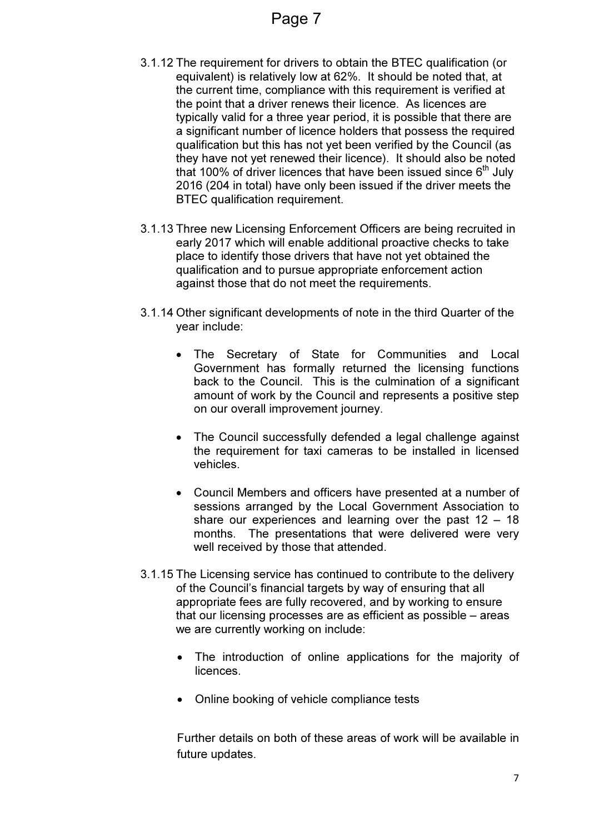- 3.1.12 The requirement for drivers to obtain the BTEC qualification (or equivalent) is relatively low at 62%. It should be noted that, at the current time, compliance with this requirement is verified at the point that a driver renews their licence. As licences are typically valid for a three year period, it is possible that there are a significant number of licence holders that possess the required qualification but this has not yet been verified by the Council (as they have not yet renewed their licence). It should also be noted that 100% of driver licences that have been issued since  $6<sup>th</sup>$  July 2016 (204 in total) have only been issued if the driver meets the BTEC qualification requirement.
- 3.1.13 Three new Licensing Enforcement Officers are being recruited in early 2017 which will enable additional proactive checks to take place to identify those drivers that have not yet obtained the qualification and to pursue appropriate enforcement action against those that do not meet the requirements.
- 3.1.14 Other significant developments of note in the third Quarter of the year include:
	- The Secretary of State for Communities and Local Government has formally returned the licensing functions back to the Council. This is the culmination of a significant amount of work by the Council and represents a positive step on our overall improvement journey.
	- The Council successfully defended a legal challenge against the requirement for taxi cameras to be installed in licensed vehicles.
	- Council Members and officers have presented at a number of sessions arranged by the Local Government Association to share our experiences and learning over the past  $12 - 18$ months. The presentations that were delivered were very well received by those that attended.
- 3.1.15 The Licensing service has continued to contribute to the delivery of the Council's financial targets by way of ensuring that all appropriate fees are fully recovered, and by working to ensure that our licensing processes are as efficient as possible – areas we are currently working on include:
	- The introduction of online applications for the majority of licences.
	- Online booking of vehicle compliance tests

Further details on both of these areas of work will be available in future updates.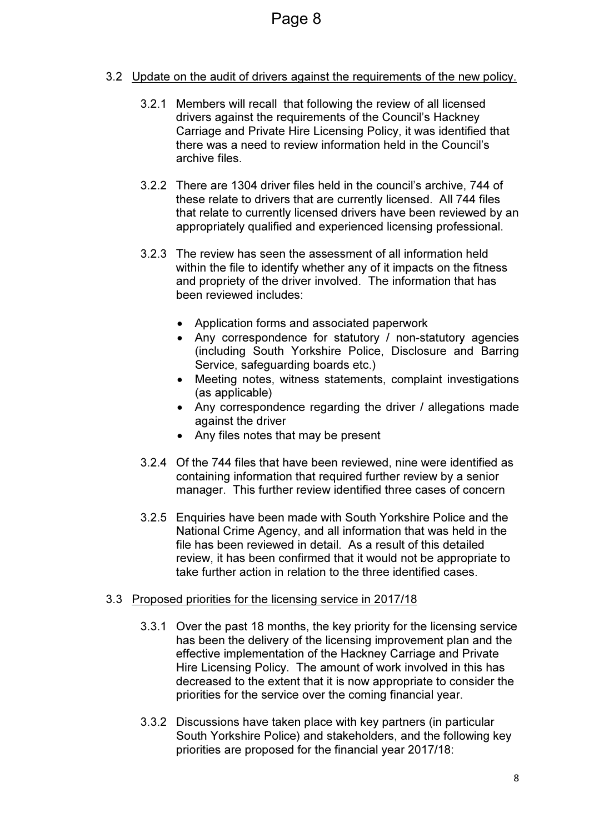## 3.2 Update on the audit of drivers against the requirements of the new policy.

- 3.2.1 Members will recall that following the review of all licensed drivers against the requirements of the Council's Hackney Carriage and Private Hire Licensing Policy, it was identified that there was a need to review information held in the Council's archive files.
- 3.2.2 There are 1304 driver files held in the council's archive, 744 of these relate to drivers that are currently licensed. All 744 files that relate to currently licensed drivers have been reviewed by an appropriately qualified and experienced licensing professional.
- 3.2.3 The review has seen the assessment of all information held within the file to identify whether any of it impacts on the fitness and propriety of the driver involved. The information that has been reviewed includes:
	- Application forms and associated paperwork
	- Any correspondence for statutory / non-statutory agencies (including South Yorkshire Police, Disclosure and Barring Service, safeguarding boards etc.)
	- Meeting notes, witness statements, complaint investigations (as applicable)
	- Any correspondence regarding the driver / allegations made against the driver
	- Any files notes that may be present
- 3.2.4 Of the 744 files that have been reviewed, nine were identified as containing information that required further review by a senior manager. This further review identified three cases of concern
- 3.2.5 Enquiries have been made with South Yorkshire Police and the National Crime Agency, and all information that was held in the file has been reviewed in detail. As a result of this detailed review, it has been confirmed that it would not be appropriate to take further action in relation to the three identified cases.

#### 3.3 Proposed priorities for the licensing service in 2017/18

- 3.3.1 Over the past 18 months, the key priority for the licensing service has been the delivery of the licensing improvement plan and the effective implementation of the Hackney Carriage and Private Hire Licensing Policy. The amount of work involved in this has decreased to the extent that it is now appropriate to consider the priorities for the service over the coming financial year.
- 3.3.2 Discussions have taken place with key partners (in particular South Yorkshire Police) and stakeholders, and the following key priorities are proposed for the financial year 2017/18: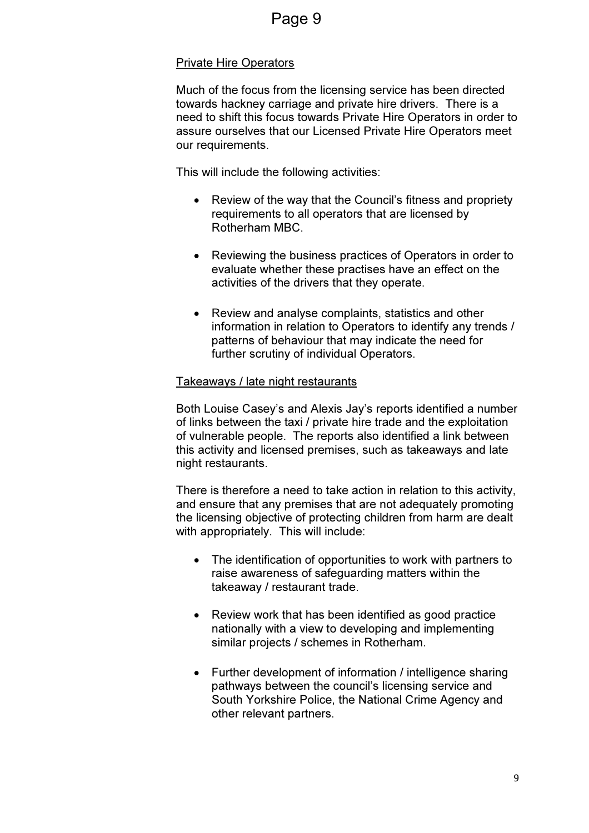## Private Hire Operators

Much of the focus from the licensing service has been directed towards hackney carriage and private hire drivers. There is a need to shift this focus towards Private Hire Operators in order to assure ourselves that our Licensed Private Hire Operators meet our requirements.

This will include the following activities:

- Review of the way that the Council's fitness and propriety requirements to all operators that are licensed by Rotherham MBC.
- Reviewing the business practices of Operators in order to evaluate whether these practises have an effect on the activities of the drivers that they operate.
- Review and analyse complaints, statistics and other information in relation to Operators to identify any trends / patterns of behaviour that may indicate the need for further scrutiny of individual Operators.

## Takeaways / late night restaurants

Both Louise Casey's and Alexis Jay's reports identified a number of links between the taxi / private hire trade and the exploitation of vulnerable people. The reports also identified a link between this activity and licensed premises, such as takeaways and late night restaurants.

There is therefore a need to take action in relation to this activity, and ensure that any premises that are not adequately promoting the licensing objective of protecting children from harm are dealt with appropriately. This will include:

- The identification of opportunities to work with partners to raise awareness of safeguarding matters within the takeaway / restaurant trade.
- Review work that has been identified as good practice nationally with a view to developing and implementing similar projects / schemes in Rotherham.
- Further development of information / intelligence sharing pathways between the council's licensing service and South Yorkshire Police, the National Crime Agency and other relevant partners.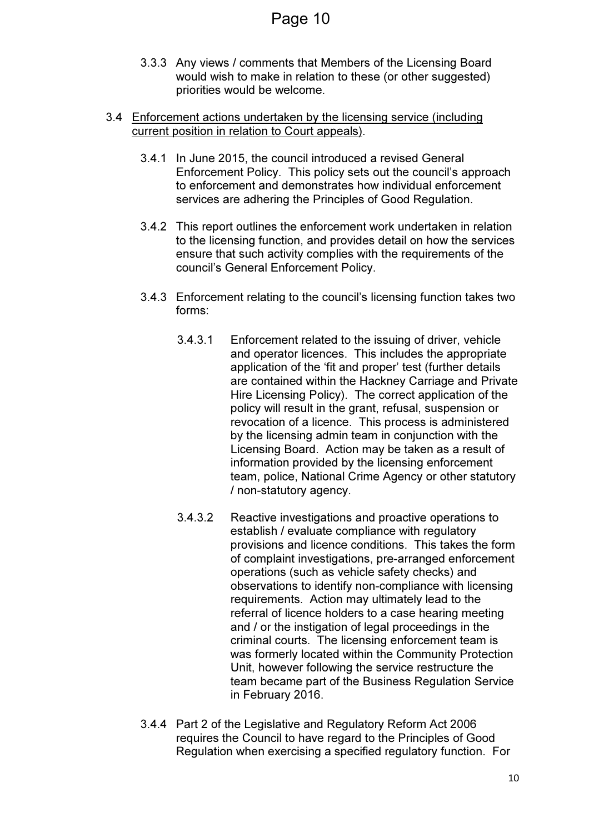- 3.3.3 Any views / comments that Members of the Licensing Board would wish to make in relation to these (or other suggested) priorities would be welcome.
- 3.4 Enforcement actions undertaken by the licensing service (including current position in relation to Court appeals).
	- 3.4.1 In June 2015, the council introduced a revised General Enforcement Policy. This policy sets out the council's approach to enforcement and demonstrates how individual enforcement services are adhering the Principles of Good Regulation.
	- 3.4.2 This report outlines the enforcement work undertaken in relation to the licensing function, and provides detail on how the services ensure that such activity complies with the requirements of the council's General Enforcement Policy.
	- 3.4.3 Enforcement relating to the council's licensing function takes two forms:
		- 3.4.3.1 Enforcement related to the issuing of driver, vehicle and operator licences. This includes the appropriate application of the 'fit and proper' test (further details are contained within the Hackney Carriage and Private Hire Licensing Policy). The correct application of the policy will result in the grant, refusal, suspension or revocation of a licence. This process is administered by the licensing admin team in conjunction with the Licensing Board. Action may be taken as a result of information provided by the licensing enforcement team, police, National Crime Agency or other statutory / non-statutory agency.
		- 3.4.3.2 Reactive investigations and proactive operations to establish / evaluate compliance with regulatory provisions and licence conditions. This takes the form of complaint investigations, pre-arranged enforcement operations (such as vehicle safety checks) and observations to identify non-compliance with licensing requirements. Action may ultimately lead to the referral of licence holders to a case hearing meeting and / or the instigation of legal proceedings in the criminal courts. The licensing enforcement team is was formerly located within the Community Protection Unit, however following the service restructure the team became part of the Business Regulation Service in February 2016.
	- 3.4.4 Part 2 of the Legislative and Regulatory Reform Act 2006 requires the Council to have regard to the Principles of Good Regulation when exercising a specified regulatory function. For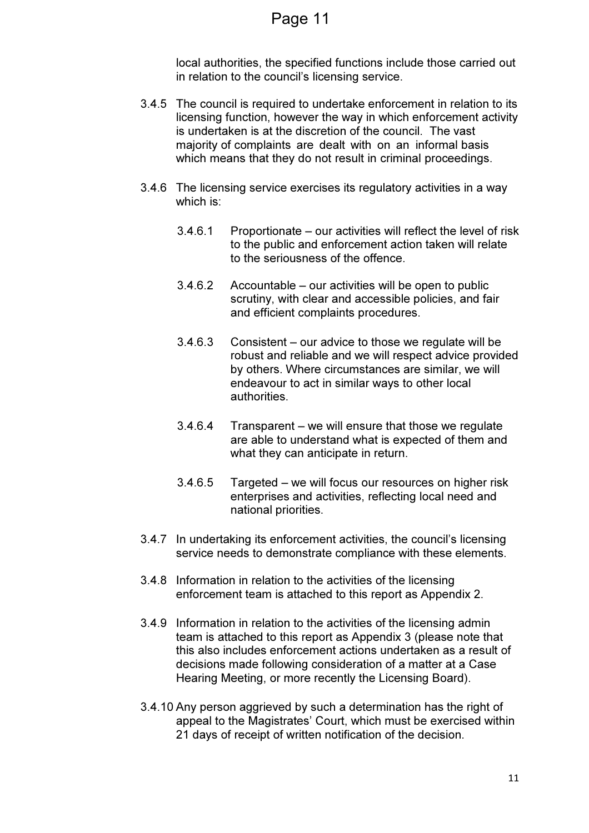local authorities, the specified functions include those carried out in relation to the council's licensing service.

- 3.4.5 The council is required to undertake enforcement in relation to its licensing function, however the way in which enforcement activity is undertaken is at the discretion of the council. The vast majority of complaints are dealt with on an informal basis which means that they do not result in criminal proceedings.
- 3.4.6 The licensing service exercises its regulatory activities in a way which is:
	- 3.4.6.1 Proportionate our activities will reflect the level of risk to the public and enforcement action taken will relate to the seriousness of the offence.
	- 3.4.6.2 Accountable our activities will be open to public scrutiny, with clear and accessible policies, and fair and efficient complaints procedures.
	- 3.4.6.3 Consistent our advice to those we regulate will be robust and reliable and we will respect advice provided by others. Where circumstances are similar, we will endeavour to act in similar ways to other local authorities.
	- 3.4.6.4 Transparent we will ensure that those we regulate are able to understand what is expected of them and what they can anticipate in return.
	- 3.4.6.5 Targeted we will focus our resources on higher risk enterprises and activities, reflecting local need and national priorities.
- 3.4.7 In undertaking its enforcement activities, the council's licensing service needs to demonstrate compliance with these elements.
- 3.4.8 Information in relation to the activities of the licensing enforcement team is attached to this report as Appendix 2.
- 3.4.9 Information in relation to the activities of the licensing admin team is attached to this report as Appendix 3 (please note that this also includes enforcement actions undertaken as a result of decisions made following consideration of a matter at a Case Hearing Meeting, or more recently the Licensing Board).
- 3.4.10 Any person aggrieved by such a determination has the right of appeal to the Magistrates' Court, which must be exercised within 21 days of receipt of written notification of the decision.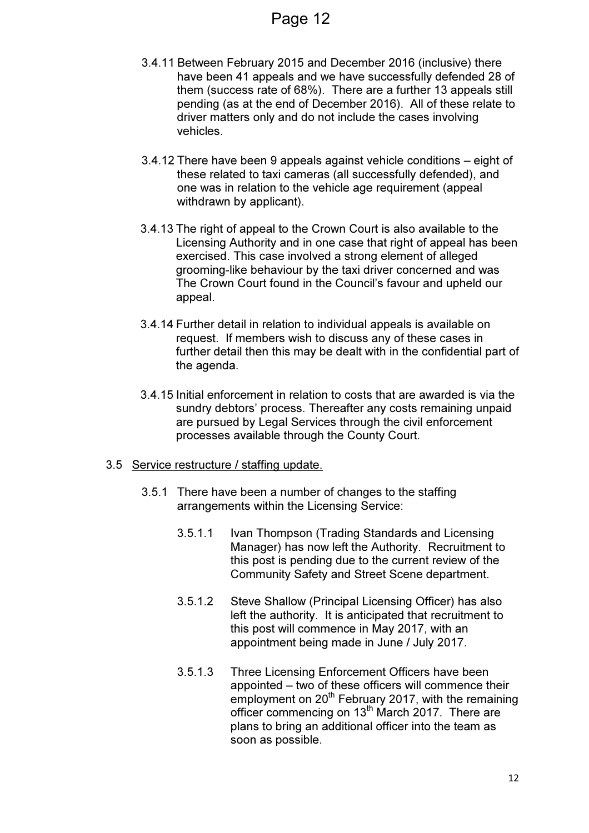- 3.4.11 Between February 2015 and December 2016 (inclusive) there have been 41 appeals and we have successfully defended 28 of them (success rate of 68%). There are a further 13 appeals still pending (as at the end of December 2016). All of these relate to driver matters only and do not include the cases involving vehicles.
- 3.4.12 There have been 9 appeals against vehicle conditions eight of these related to taxi cameras (all successfully defended), and one was in relation to the vehicle age requirement (appeal withdrawn by applicant).
- 3.4.13 The right of appeal to the Crown Court is also available to the Licensing Authority and in one case that right of appeal has been exercised. This case involved a strong element of alleged grooming-like behaviour by the taxi driver concerned and was The Crown Court found in the Council's favour and upheld our appeal.
- 3.4.14 Further detail in relation to individual appeals is available on request. If members wish to discuss any of these cases in further detail then this may be dealt with in the confidential part of the agenda.
- 3.4.15 Initial enforcement in relation to costs that are awarded is via the sundry debtors' process. Thereafter any costs remaining unpaid are pursued by Legal Services through the civil enforcement processes available through the County Court.
- 3.5 Service restructure / staffing update.
	- 3.5.1 There have been a number of changes to the staffing arrangements within the Licensing Service:
		- 3.5.1.1 Ivan Thompson (Trading Standards and Licensing Manager) has now left the Authority. Recruitment to this post is pending due to the current review of the Community Safety and Street Scene department.
		- 3.5.1.2 Steve Shallow (Principal Licensing Officer) has also left the authority. It is anticipated that recruitment to this post will commence in May 2017, with an appointment being made in June / July 2017.
		- 3.5.1.3 Three Licensing Enforcement Officers have been appointed – two of these officers will commence their employment on 20<sup>th</sup> February 2017, with the remaining officer commencing on 13<sup>th</sup> March 2017. There are plans to bring an additional officer into the team as soon as possible.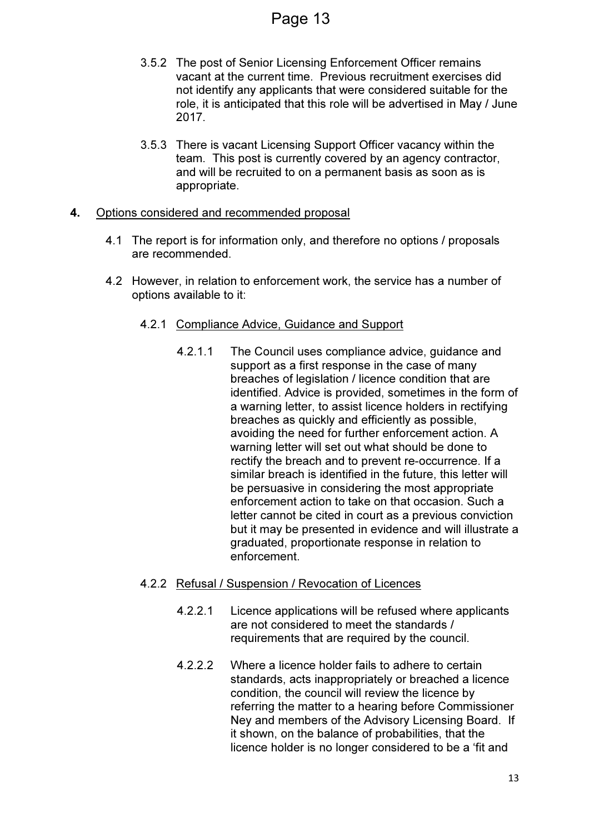- 3.5.2 The post of Senior Licensing Enforcement Officer remains vacant at the current time. Previous recruitment exercises did not identify any applicants that were considered suitable for the role, it is anticipated that this role will be advertised in May / June 2017.
- 3.5.3 There is vacant Licensing Support Officer vacancy within the team. This post is currently covered by an agency contractor, and will be recruited to on a permanent basis as soon as is appropriate.

#### 4. Options considered and recommended proposal

- 4.1 The report is for information only, and therefore no options / proposals are recommended.
- 4.2 However, in relation to enforcement work, the service has a number of options available to it:

#### 4.2.1 Compliance Advice, Guidance and Support

4.2.1.1 The Council uses compliance advice, guidance and support as a first response in the case of many breaches of legislation / licence condition that are identified. Advice is provided, sometimes in the form of a warning letter, to assist licence holders in rectifying breaches as quickly and efficiently as possible, avoiding the need for further enforcement action. A warning letter will set out what should be done to rectify the breach and to prevent re-occurrence. If a similar breach is identified in the future, this letter will be persuasive in considering the most appropriate enforcement action to take on that occasion. Such a letter cannot be cited in court as a previous conviction but it may be presented in evidence and will illustrate a graduated, proportionate response in relation to enforcement.

#### 4.2.2 Refusal / Suspension / Revocation of Licences

- 4.2.2.1 Licence applications will be refused where applicants are not considered to meet the standards / requirements that are required by the council.
- 4.2.2.2 Where a licence holder fails to adhere to certain standards, acts inappropriately or breached a licence condition, the council will review the licence by referring the matter to a hearing before Commissioner Ney and members of the Advisory Licensing Board. If it shown, on the balance of probabilities, that the licence holder is no longer considered to be a 'fit and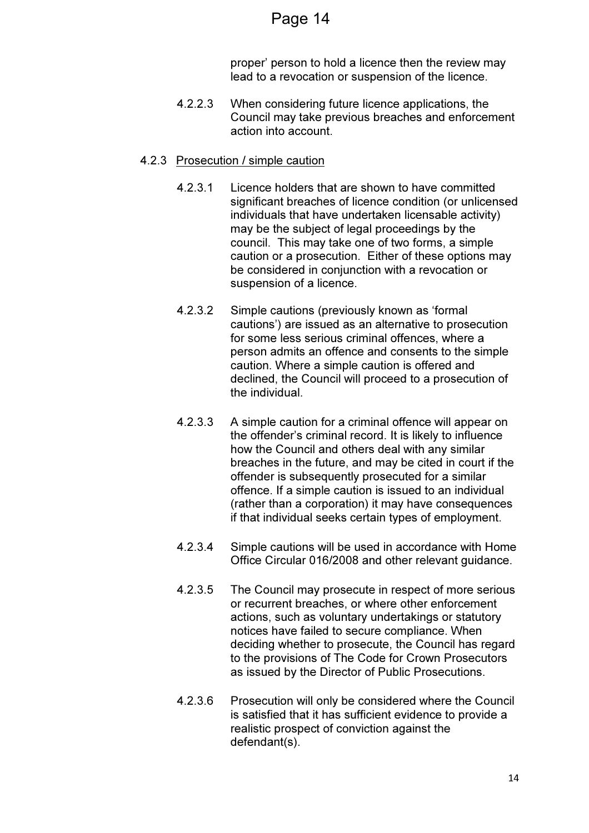proper' person to hold a licence then the review may lead to a revocation or suspension of the licence.

4.2.2.3 When considering future licence applications, the Council may take previous breaches and enforcement action into account.

#### 4.2.3 Prosecution / simple caution

- 4.2.3.1 Licence holders that are shown to have committed significant breaches of licence condition (or unlicensed individuals that have undertaken licensable activity) may be the subject of legal proceedings by the council. This may take one of two forms, a simple caution or a prosecution. Either of these options may be considered in conjunction with a revocation or suspension of a licence.
- 4.2.3.2 Simple cautions (previously known as 'formal cautions') are issued as an alternative to prosecution for some less serious criminal offences, where a person admits an offence and consents to the simple caution. Where a simple caution is offered and declined, the Council will proceed to a prosecution of the individual.
- 4.2.3.3 A simple caution for a criminal offence will appear on the offender's criminal record. It is likely to influence how the Council and others deal with any similar breaches in the future, and may be cited in court if the offender is subsequently prosecuted for a similar offence. If a simple caution is issued to an individual (rather than a corporation) it may have consequences if that individual seeks certain types of employment.
- 4.2.3.4 Simple cautions will be used in accordance with Home Office Circular 016/2008 and other relevant guidance.
- 4.2.3.5 The Council may prosecute in respect of more serious or recurrent breaches, or where other enforcement actions, such as voluntary undertakings or statutory notices have failed to secure compliance. When deciding whether to prosecute, the Council has regard to the provisions of The Code for Crown Prosecutors as issued by the Director of Public Prosecutions.
- 4.2.3.6 Prosecution will only be considered where the Council is satisfied that it has sufficient evidence to provide a realistic prospect of conviction against the defendant(s).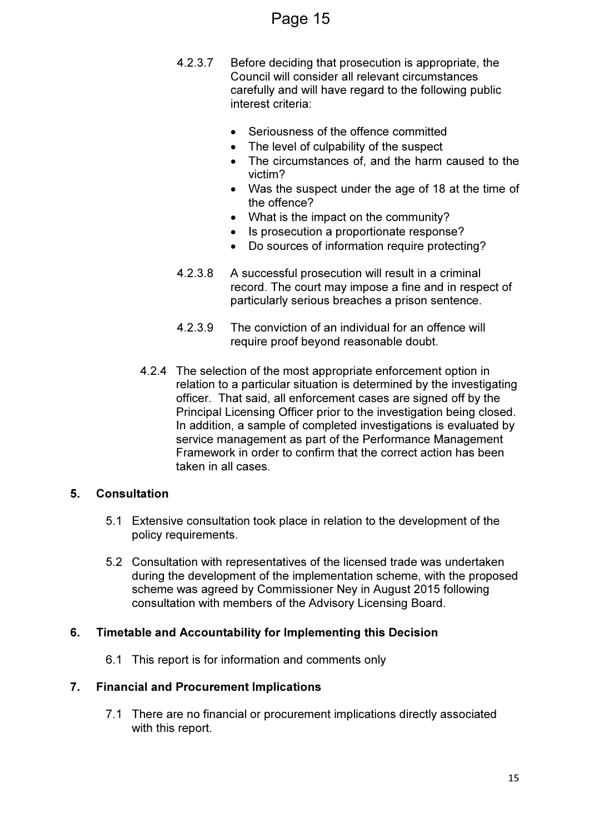## Page 15

- 4.2.3.7 Before deciding that prosecution is appropriate, the Council will consider all relevant circumstances carefully and will have regard to the following public interest criteria:
	- Seriousness of the offence committed
	- The level of culpability of the suspect
	- The circumstances of, and the harm caused to the victim?
	- Was the suspect under the age of 18 at the time of the offence?
	- What is the impact on the community?
	- Is prosecution a proportionate response?
	- Do sources of information require protecting?
- 4.2.3.8 A successful prosecution will result in a criminal record. The court may impose a fine and in respect of particularly serious breaches a prison sentence.
- 4.2.3.9 The conviction of an individual for an offence will require proof beyond reasonable doubt.
- 4.2.4 The selection of the most appropriate enforcement option in relation to a particular situation is determined by the investigating officer. That said, all enforcement cases are signed off by the Principal Licensing Officer prior to the investigation being closed. In addition, a sample of completed investigations is evaluated by service management as part of the Performance Management Framework in order to confirm that the correct action has been taken in all cases.

## 5. Consultation

- 5.1 Extensive consultation took place in relation to the development of the policy requirements.
- 5.2 Consultation with representatives of the licensed trade was undertaken during the development of the implementation scheme, with the proposed scheme was agreed by Commissioner Ney in August 2015 following consultation with members of the Advisory Licensing Board.

## 6. Timetable and Accountability for Implementing this Decision

6.1 This report is for information and comments only

## 7. Financial and Procurement Implications

7.1 There are no financial or procurement implications directly associated with this report.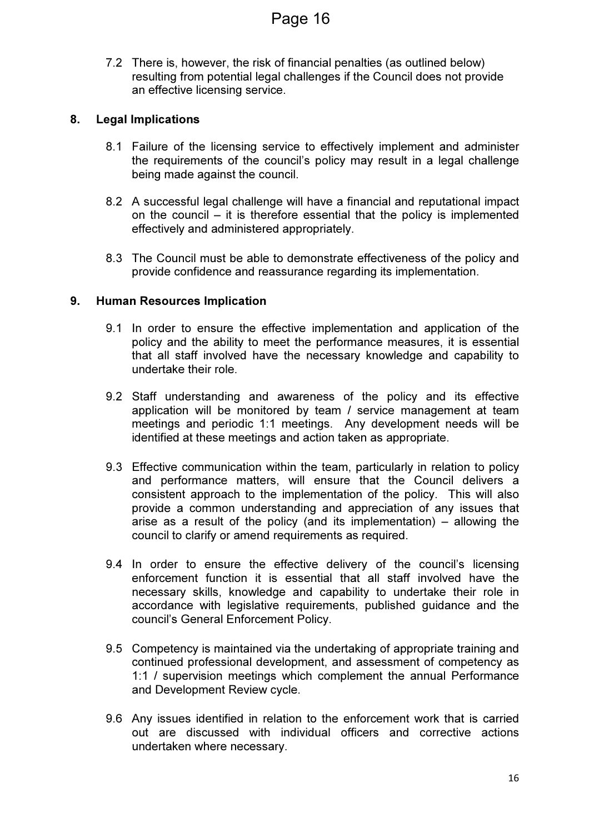7.2 There is, however, the risk of financial penalties (as outlined below) resulting from potential legal challenges if the Council does not provide an effective licensing service.

## 8. Legal Implications

- 8.1 Failure of the licensing service to effectively implement and administer the requirements of the council's policy may result in a legal challenge being made against the council.
- 8.2 A successful legal challenge will have a financial and reputational impact on the council – it is therefore essential that the policy is implemented effectively and administered appropriately.
- 8.3 The Council must be able to demonstrate effectiveness of the policy and provide confidence and reassurance regarding its implementation.

## 9. Human Resources Implication

- 9.1 In order to ensure the effective implementation and application of the policy and the ability to meet the performance measures, it is essential that all staff involved have the necessary knowledge and capability to undertake their role.
- 9.2 Staff understanding and awareness of the policy and its effective application will be monitored by team / service management at team meetings and periodic 1:1 meetings. Any development needs will be identified at these meetings and action taken as appropriate.
- 9.3 Effective communication within the team, particularly in relation to policy and performance matters, will ensure that the Council delivers a consistent approach to the implementation of the policy. This will also provide a common understanding and appreciation of any issues that arise as a result of the policy (and its implementation) – allowing the council to clarify or amend requirements as required.
- 9.4 In order to ensure the effective delivery of the council's licensing enforcement function it is essential that all staff involved have the necessary skills, knowledge and capability to undertake their role in accordance with legislative requirements, published guidance and the council's General Enforcement Policy.
- 9.5 Competency is maintained via the undertaking of appropriate training and continued professional development, and assessment of competency as 1:1 / supervision meetings which complement the annual Performance and Development Review cycle.
- 9.6 Any issues identified in relation to the enforcement work that is carried out are discussed with individual officers and corrective actions undertaken where necessary.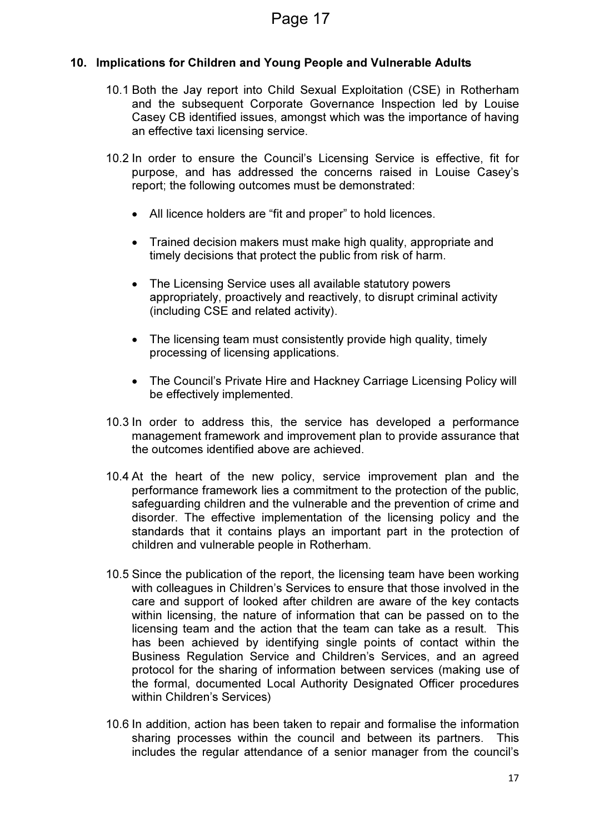## 10. Implications for Children and Young People and Vulnerable Adults

- 10.1 Both the Jay report into Child Sexual Exploitation (CSE) in Rotherham and the subsequent Corporate Governance Inspection led by Louise Casey CB identified issues, amongst which was the importance of having an effective taxi licensing service.
- 10.2 In order to ensure the Council's Licensing Service is effective, fit for purpose, and has addressed the concerns raised in Louise Casey's report; the following outcomes must be demonstrated:
	- All licence holders are "fit and proper" to hold licences.
	- Trained decision makers must make high quality, appropriate and timely decisions that protect the public from risk of harm.
	- The Licensing Service uses all available statutory powers appropriately, proactively and reactively, to disrupt criminal activity (including CSE and related activity).
	- The licensing team must consistently provide high quality, timely processing of licensing applications.
	- The Council's Private Hire and Hackney Carriage Licensing Policy will be effectively implemented.
- 10.3 In order to address this, the service has developed a performance management framework and improvement plan to provide assurance that the outcomes identified above are achieved.
- 10.4 At the heart of the new policy, service improvement plan and the performance framework lies a commitment to the protection of the public, safeguarding children and the vulnerable and the prevention of crime and disorder. The effective implementation of the licensing policy and the standards that it contains plays an important part in the protection of children and vulnerable people in Rotherham.
- 10.5 Since the publication of the report, the licensing team have been working with colleagues in Children's Services to ensure that those involved in the care and support of looked after children are aware of the key contacts within licensing, the nature of information that can be passed on to the licensing team and the action that the team can take as a result. This has been achieved by identifying single points of contact within the Business Regulation Service and Children's Services, and an agreed protocol for the sharing of information between services (making use of the formal, documented Local Authority Designated Officer procedures within Children's Services)
- 10.6 In addition, action has been taken to repair and formalise the information sharing processes within the council and between its partners. This includes the regular attendance of a senior manager from the council's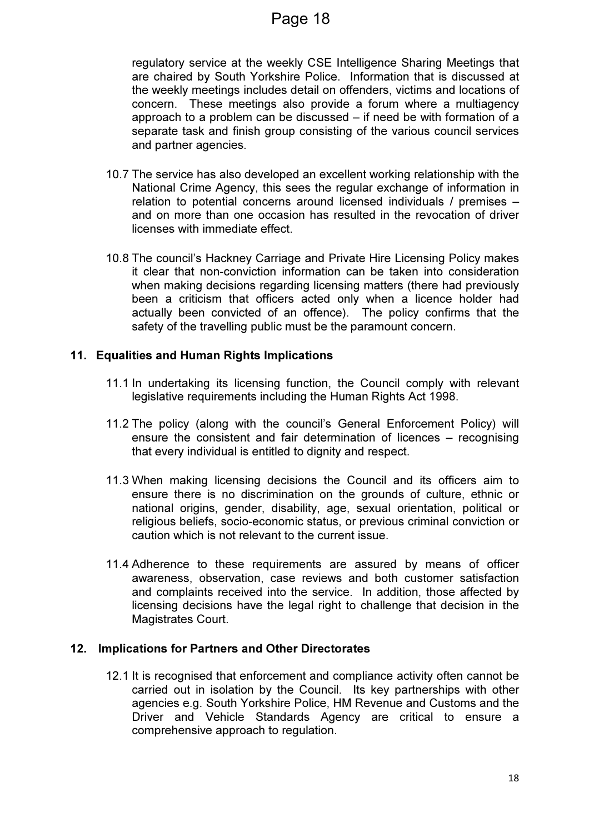regulatory service at the weekly CSE Intelligence Sharing Meetings that are chaired by South Yorkshire Police. Information that is discussed at the weekly meetings includes detail on offenders, victims and locations of concern. These meetings also provide a forum where a multiagency approach to a problem can be discussed – if need be with formation of a separate task and finish group consisting of the various council services and partner agencies.

- 10.7 The service has also developed an excellent working relationship with the National Crime Agency, this sees the regular exchange of information in relation to potential concerns around licensed individuals / premises – and on more than one occasion has resulted in the revocation of driver licenses with immediate effect.
- 10.8 The council's Hackney Carriage and Private Hire Licensing Policy makes it clear that non-conviction information can be taken into consideration when making decisions regarding licensing matters (there had previously been a criticism that officers acted only when a licence holder had actually been convicted of an offence). The policy confirms that the safety of the travelling public must be the paramount concern.

## 11. Equalities and Human Rights Implications

- 11.1 In undertaking its licensing function, the Council comply with relevant legislative requirements including the Human Rights Act 1998.
- 11.2 The policy (along with the council's General Enforcement Policy) will ensure the consistent and fair determination of licences – recognising that every individual is entitled to dignity and respect.
- 11.3 When making licensing decisions the Council and its officers aim to ensure there is no discrimination on the grounds of culture, ethnic or national origins, gender, disability, age, sexual orientation, political or religious beliefs, socio-economic status, or previous criminal conviction or caution which is not relevant to the current issue.
- 11.4 Adherence to these requirements are assured by means of officer awareness, observation, case reviews and both customer satisfaction and complaints received into the service. In addition, those affected by licensing decisions have the legal right to challenge that decision in the Magistrates Court.

## 12. Implications for Partners and Other Directorates

12.1 It is recognised that enforcement and compliance activity often cannot be carried out in isolation by the Council. Its key partnerships with other agencies e.g. South Yorkshire Police, HM Revenue and Customs and the Driver and Vehicle Standards Agency are critical to ensure a comprehensive approach to regulation.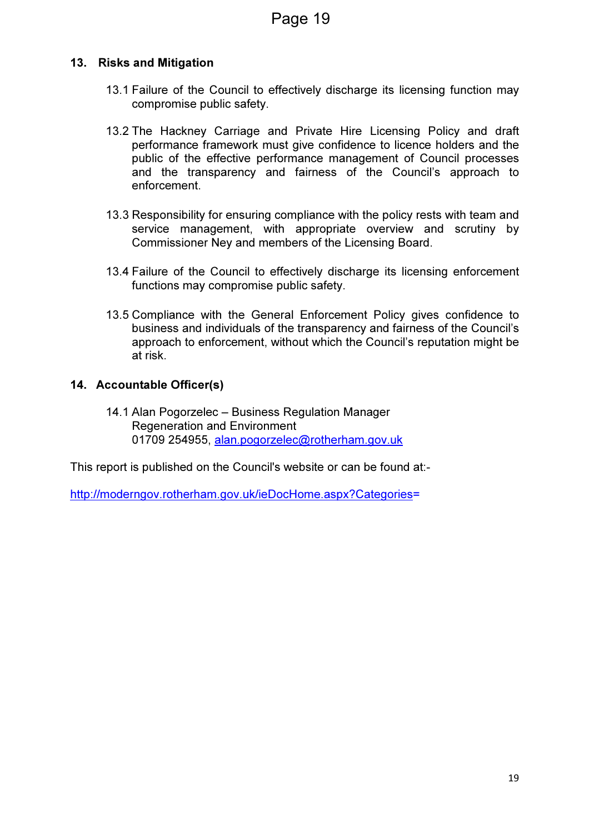## 13. Risks and Mitigation

- 13.1 Failure of the Council to effectively discharge its licensing function may compromise public safety.
- 13.2 The Hackney Carriage and Private Hire Licensing Policy and draft performance framework must give confidence to licence holders and the public of the effective performance management of Council processes and the transparency and fairness of the Council's approach to enforcement.
- 13.3 Responsibility for ensuring compliance with the policy rests with team and service management, with appropriate overview and scrutiny by Commissioner Ney and members of the Licensing Board.
- 13.4 Failure of the Council to effectively discharge its licensing enforcement functions may compromise public safety.
- 13.5 Compliance with the General Enforcement Policy gives confidence to business and individuals of the transparency and fairness of the Council's approach to enforcement, without which the Council's reputation might be at risk.

#### 14. Accountable Officer(s)

14.1 Alan Pogorzelec – Business Regulation Manager Regeneration and Environment 01709 254955, alan.pogorzelec@rotherham.gov.uk

This report is published on the Council's website or can be found at:-

http://moderngov.rotherham.gov.uk/ieDocHome.aspx?Categories=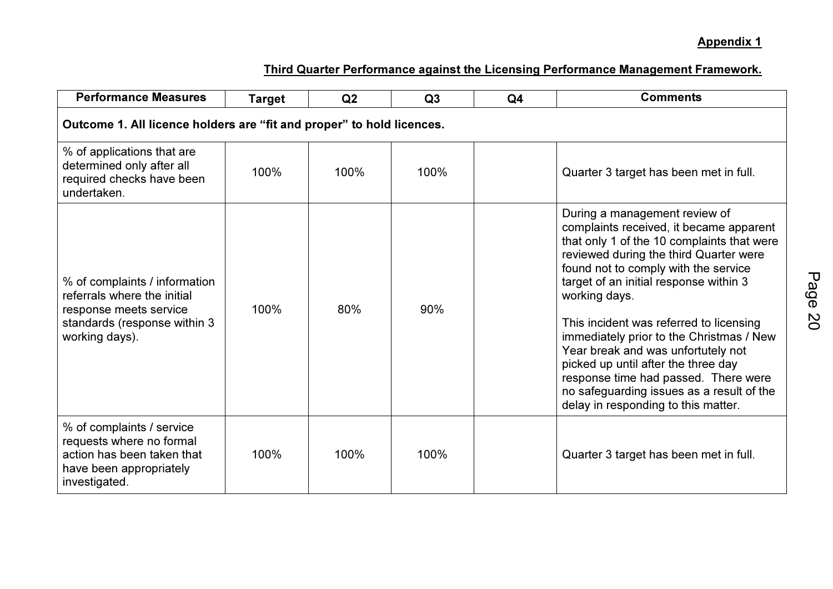| <b>Performance Measures</b>                                                                                                              | <b>Target</b> | Q2   | Q3   | Q <sub>4</sub> | <b>Comments</b>                                                                                                                                                                                                                                                                                                                                                                                                                                                                                                                                                     |  |  |  |  |
|------------------------------------------------------------------------------------------------------------------------------------------|---------------|------|------|----------------|---------------------------------------------------------------------------------------------------------------------------------------------------------------------------------------------------------------------------------------------------------------------------------------------------------------------------------------------------------------------------------------------------------------------------------------------------------------------------------------------------------------------------------------------------------------------|--|--|--|--|
| Outcome 1. All licence holders are "fit and proper" to hold licences.                                                                    |               |      |      |                |                                                                                                                                                                                                                                                                                                                                                                                                                                                                                                                                                                     |  |  |  |  |
| % of applications that are<br>determined only after all<br>required checks have been<br>undertaken.                                      | 100%          | 100% | 100% |                | Quarter 3 target has been met in full.                                                                                                                                                                                                                                                                                                                                                                                                                                                                                                                              |  |  |  |  |
| % of complaints / information<br>referrals where the initial<br>response meets service<br>standards (response within 3<br>working days). | 100%          | 80%  | 90%  |                | During a management review of<br>complaints received, it became apparent<br>that only 1 of the 10 complaints that were<br>reviewed during the third Quarter were<br>found not to comply with the service<br>target of an initial response within 3<br>working days.<br>This incident was referred to licensing<br>immediately prior to the Christmas / New<br>Year break and was unfortutely not<br>picked up until after the three day<br>response time had passed. There were<br>no safeguarding issues as a result of the<br>delay in responding to this matter. |  |  |  |  |
| % of complaints / service<br>requests where no formal<br>action has been taken that<br>have been appropriately<br>investigated.          | 100%          | 100% | 100% |                | Quarter 3 target has been met in full.                                                                                                                                                                                                                                                                                                                                                                                                                                                                                                                              |  |  |  |  |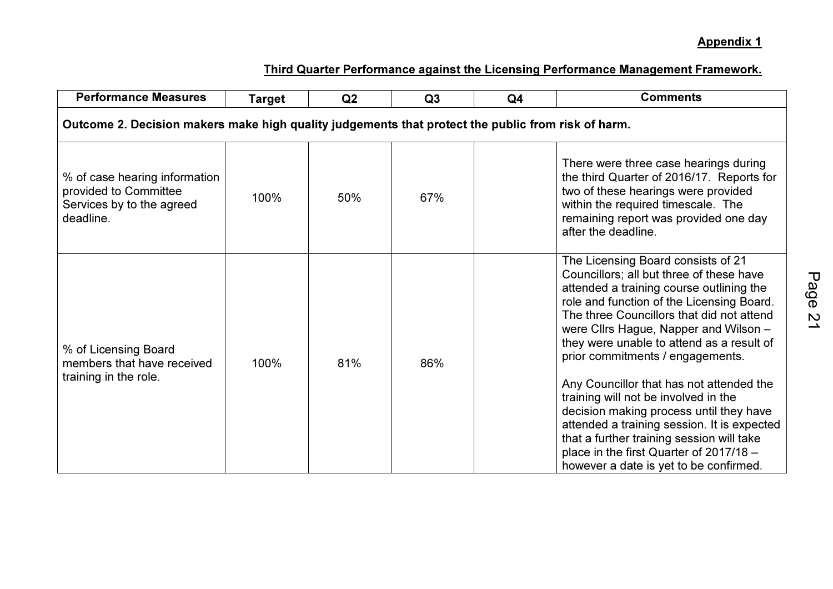| <b>Performance Measures</b>                                                                        | <b>Target</b> | Q2  | Q3  | Q <sub>4</sub> | <b>Comments</b>                                                                                                                                                                                                                                                                                                                                                                                                                                                                                                                                                                                                      |  |  |  |  |  |
|----------------------------------------------------------------------------------------------------|---------------|-----|-----|----------------|----------------------------------------------------------------------------------------------------------------------------------------------------------------------------------------------------------------------------------------------------------------------------------------------------------------------------------------------------------------------------------------------------------------------------------------------------------------------------------------------------------------------------------------------------------------------------------------------------------------------|--|--|--|--|--|
| Outcome 2. Decision makers make high quality judgements that protect the public from risk of harm. |               |     |     |                |                                                                                                                                                                                                                                                                                                                                                                                                                                                                                                                                                                                                                      |  |  |  |  |  |
| % of case hearing information<br>provided to Committee<br>Services by to the agreed<br>deadline.   | 100%          | 50% | 67% |                | There were three case hearings during<br>the third Quarter of 2016/17. Reports for<br>two of these hearings were provided<br>within the required timescale. The<br>remaining report was provided one day<br>after the deadline.                                                                                                                                                                                                                                                                                                                                                                                      |  |  |  |  |  |
| % of Licensing Board<br>members that have received<br>training in the role.                        | 100%          | 81% | 86% |                | The Licensing Board consists of 21<br>Councillors; all but three of these have<br>attended a training course outlining the<br>role and function of the Licensing Board.<br>The three Councillors that did not attend<br>were Cllrs Hague, Napper and Wilson -<br>they were unable to attend as a result of<br>prior commitments / engagements.<br>Any Councillor that has not attended the<br>training will not be involved in the<br>decision making process until they have<br>attended a training session. It is expected<br>that a further training session will take<br>place in the first Quarter of 2017/18 - |  |  |  |  |  |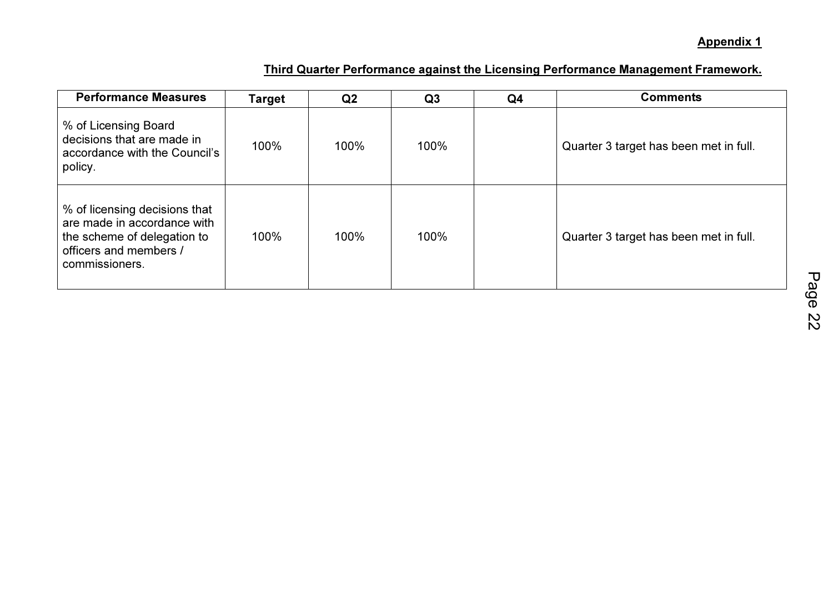| <b>Performance Measures</b>                                                                                                             | Target | Q <sub>2</sub> | Q <sub>3</sub> | Q4 | <b>Comments</b>                        |
|-----------------------------------------------------------------------------------------------------------------------------------------|--------|----------------|----------------|----|----------------------------------------|
| % of Licensing Board<br>decisions that are made in<br>accordance with the Council's<br>policy.                                          | 100%   | 100%           | 100%           |    | Quarter 3 target has been met in full. |
| % of licensing decisions that<br>are made in accordance with<br>the scheme of delegation to<br>officers and members /<br>commissioners. | 100%   | 100%           | 100%           |    | Quarter 3 target has been met in full. |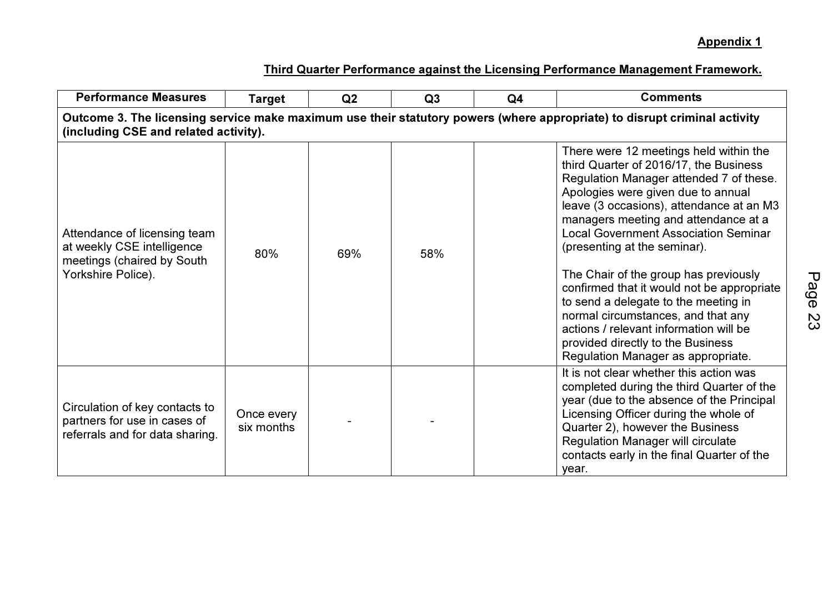| <b>Performance Measures</b>                                                                                                                                        | Target                   | Q2  | Q <sub>3</sub> | Q <sub>4</sub> | <b>Comments</b>                                                                                                                                                                                                                                                                                                                                                                                                                                                                                                                                                                                                                |  |  |  |  |  |  |
|--------------------------------------------------------------------------------------------------------------------------------------------------------------------|--------------------------|-----|----------------|----------------|--------------------------------------------------------------------------------------------------------------------------------------------------------------------------------------------------------------------------------------------------------------------------------------------------------------------------------------------------------------------------------------------------------------------------------------------------------------------------------------------------------------------------------------------------------------------------------------------------------------------------------|--|--|--|--|--|--|
| Outcome 3. The licensing service make maximum use their statutory powers (where appropriate) to disrupt criminal activity<br>(including CSE and related activity). |                          |     |                |                |                                                                                                                                                                                                                                                                                                                                                                                                                                                                                                                                                                                                                                |  |  |  |  |  |  |
| Attendance of licensing team<br>at weekly CSE intelligence<br>meetings (chaired by South<br>Yorkshire Police).                                                     | 80%                      | 69% | 58%            |                | There were 12 meetings held within the<br>third Quarter of 2016/17, the Business<br>Regulation Manager attended 7 of these.<br>Apologies were given due to annual<br>leave (3 occasions), attendance at an M3<br>managers meeting and attendance at a<br><b>Local Government Association Seminar</b><br>(presenting at the seminar).<br>The Chair of the group has previously<br>confirmed that it would not be appropriate<br>to send a delegate to the meeting in<br>normal circumstances, and that any<br>actions / relevant information will be<br>provided directly to the Business<br>Regulation Manager as appropriate. |  |  |  |  |  |  |
| Circulation of key contacts to<br>partners for use in cases of<br>referrals and for data sharing.                                                                  | Once every<br>six months |     |                |                | It is not clear whether this action was<br>completed during the third Quarter of the<br>year (due to the absence of the Principal<br>Licensing Officer during the whole of<br>Quarter 2), however the Business<br><b>Regulation Manager will circulate</b><br>contacts early in the final Quarter of the<br>year.                                                                                                                                                                                                                                                                                                              |  |  |  |  |  |  |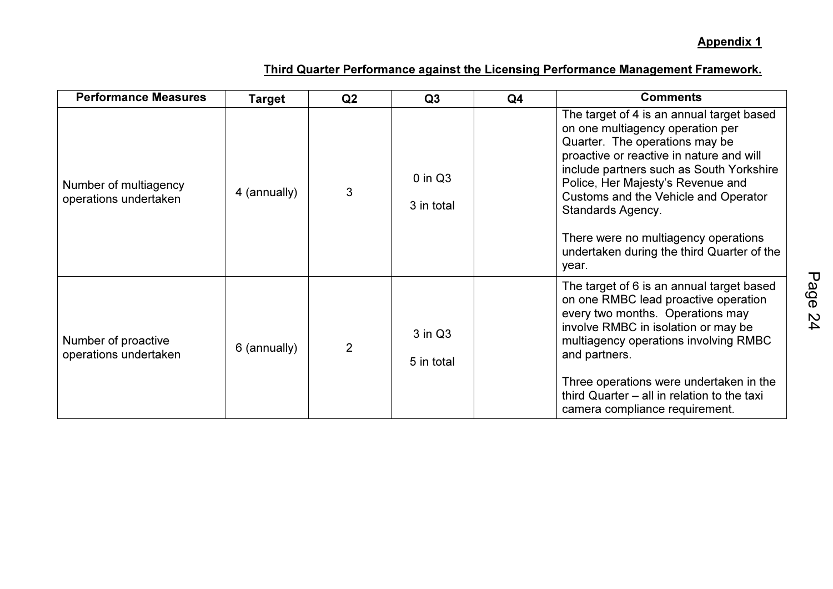| <b>Performance Measures</b>                    | <b>Target</b> | Q <sub>2</sub> | Q3                        | Q <sub>4</sub> | <b>Comments</b>                                                                                                                                                                                                                                                                                                                                                                                          |
|------------------------------------------------|---------------|----------------|---------------------------|----------------|----------------------------------------------------------------------------------------------------------------------------------------------------------------------------------------------------------------------------------------------------------------------------------------------------------------------------------------------------------------------------------------------------------|
| Number of multiagency<br>operations undertaken | 4 (annually)  | 3              | $0$ in $Q3$<br>3 in total |                | The target of 4 is an annual target based<br>on one multiagency operation per<br>Quarter. The operations may be<br>proactive or reactive in nature and will<br>include partners such as South Yorkshire<br>Police, Her Majesty's Revenue and<br>Customs and the Vehicle and Operator<br>Standards Agency.<br>There were no multiagency operations<br>undertaken during the third Quarter of the<br>year. |
| Number of proactive<br>operations undertaken   | 6 (annually)  | $\overline{2}$ | $3$ in $Q3$<br>5 in total |                | The target of 6 is an annual target based<br>on one RMBC lead proactive operation<br>every two months. Operations may<br>involve RMBC in isolation or may be<br>multiagency operations involving RMBC<br>and partners.<br>Three operations were undertaken in the<br>third Quarter - all in relation to the taxi<br>camera compliance requirement.                                                       |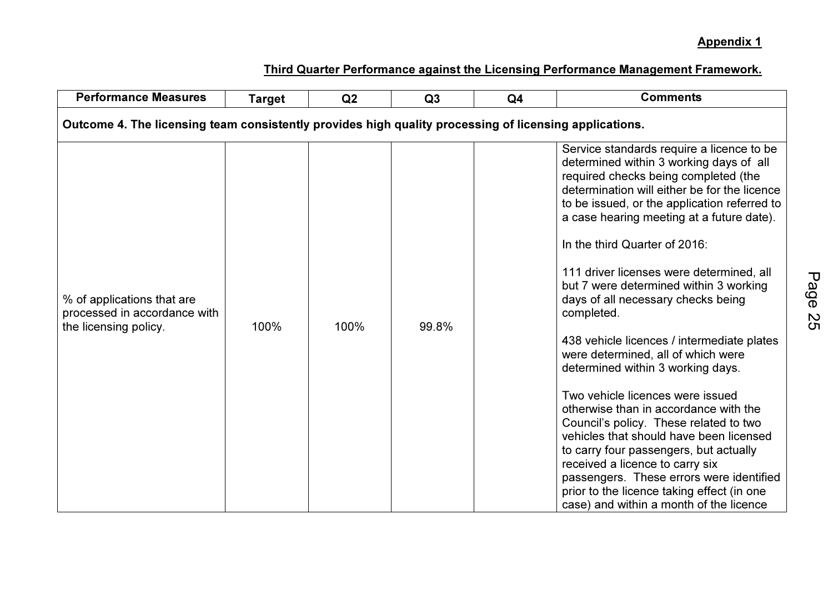| <b>Performance Measures</b>                                                                            | <b>Comments</b> |      |       |  |                                                                                                                                                                                                                                                                                                                                                                                                                                                                                                                                                                                                                                                                                                                                                                                                                                                                                                                                                                   |
|--------------------------------------------------------------------------------------------------------|-----------------|------|-------|--|-------------------------------------------------------------------------------------------------------------------------------------------------------------------------------------------------------------------------------------------------------------------------------------------------------------------------------------------------------------------------------------------------------------------------------------------------------------------------------------------------------------------------------------------------------------------------------------------------------------------------------------------------------------------------------------------------------------------------------------------------------------------------------------------------------------------------------------------------------------------------------------------------------------------------------------------------------------------|
| Outcome 4. The licensing team consistently provides high quality processing of licensing applications. |                 |      |       |  |                                                                                                                                                                                                                                                                                                                                                                                                                                                                                                                                                                                                                                                                                                                                                                                                                                                                                                                                                                   |
| % of applications that are<br>processed in accordance with<br>the licensing policy.                    | 100%            | 100% | 99.8% |  | Service standards require a licence to be<br>determined within 3 working days of all<br>required checks being completed (the<br>determination will either be for the licence<br>to be issued, or the application referred to<br>a case hearing meeting at a future date).<br>In the third Quarter of 2016:<br>111 driver licenses were determined, all<br>but 7 were determined within 3 working<br>days of all necessary checks being<br>completed.<br>438 vehicle licences / intermediate plates<br>were determined, all of which were<br>determined within 3 working days.<br>Two vehicle licences were issued<br>otherwise than in accordance with the<br>Council's policy. These related to two<br>vehicles that should have been licensed<br>to carry four passengers, but actually<br>received a licence to carry six<br>passengers. These errors were identified<br>prior to the licence taking effect (in one<br>case) and within a month of the licence |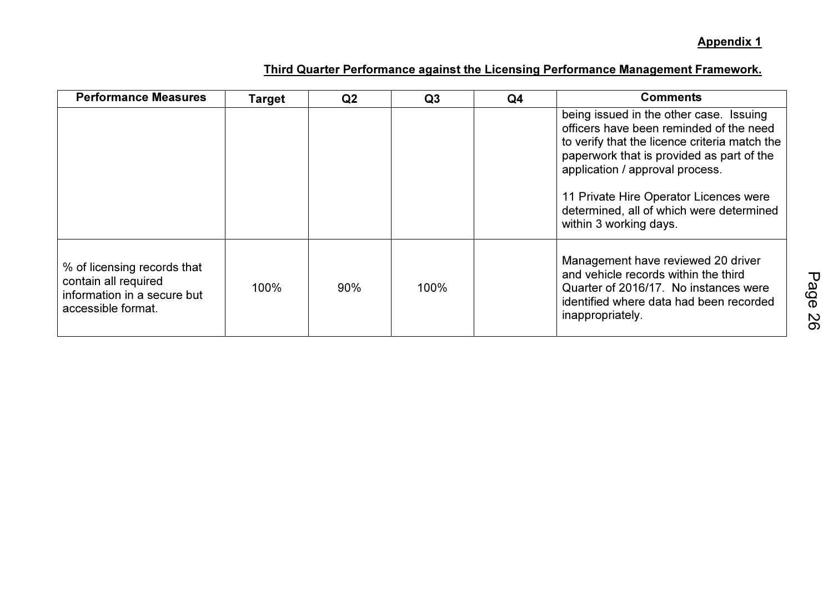| <b>Performance Measures</b>                                                                              | Target | Q <sub>2</sub> | Q <sub>3</sub> | Q <sub>4</sub> | <b>Comments</b>                                                                                                                                                                                                                                                                                                                     |
|----------------------------------------------------------------------------------------------------------|--------|----------------|----------------|----------------|-------------------------------------------------------------------------------------------------------------------------------------------------------------------------------------------------------------------------------------------------------------------------------------------------------------------------------------|
|                                                                                                          |        |                |                |                | being issued in the other case. Issuing<br>officers have been reminded of the need<br>to verify that the licence criteria match the<br>paperwork that is provided as part of the<br>application / approval process.<br>11 Private Hire Operator Licences were<br>determined, all of which were determined<br>within 3 working days. |
| % of licensing records that<br>contain all required<br>information in a secure but<br>accessible format. | 100%   | 90%            | 100%           |                | Management have reviewed 20 driver<br>and vehicle records within the third<br>Quarter of 2016/17. No instances were<br>identified where data had been recorded<br>inappropriately.                                                                                                                                                  |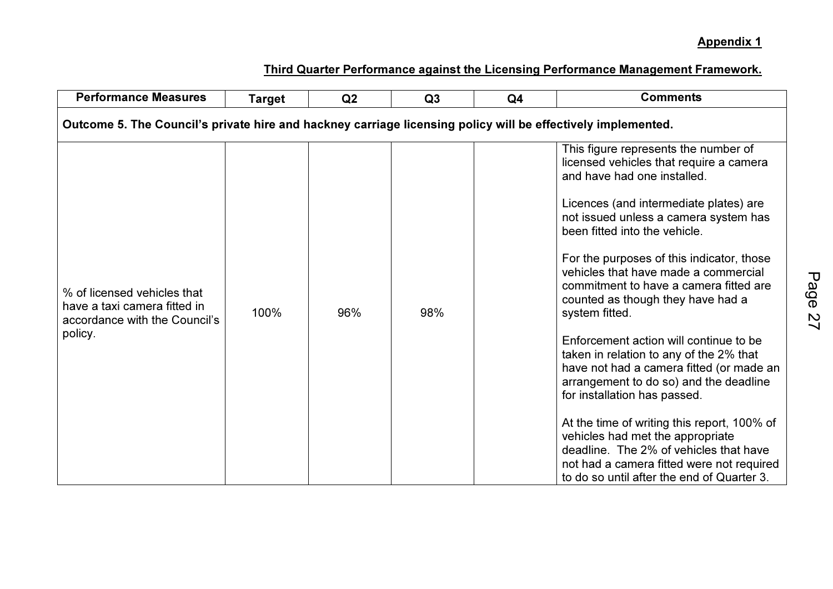| <b>Performance Measures</b>                                                                                  | <b>Target</b> | Q <sub>2</sub> | Q3  | Q <sub>4</sub> | <b>Comments</b>                                                                                                                                                                                                                                                                                                                                                                                                                                                                                                                                                                                                                                                                                                                                                                                                                                             |
|--------------------------------------------------------------------------------------------------------------|---------------|----------------|-----|----------------|-------------------------------------------------------------------------------------------------------------------------------------------------------------------------------------------------------------------------------------------------------------------------------------------------------------------------------------------------------------------------------------------------------------------------------------------------------------------------------------------------------------------------------------------------------------------------------------------------------------------------------------------------------------------------------------------------------------------------------------------------------------------------------------------------------------------------------------------------------------|
| Outcome 5. The Council's private hire and hackney carriage licensing policy will be effectively implemented. |               |                |     |                |                                                                                                                                                                                                                                                                                                                                                                                                                                                                                                                                                                                                                                                                                                                                                                                                                                                             |
| % of licensed vehicles that<br>have a taxi camera fitted in<br>accordance with the Council's<br>policy.      | 100%          | 96%            | 98% |                | This figure represents the number of<br>licensed vehicles that require a camera<br>and have had one installed.<br>Licences (and intermediate plates) are<br>not issued unless a camera system has<br>been fitted into the vehicle.<br>For the purposes of this indicator, those<br>vehicles that have made a commercial<br>commitment to have a camera fitted are<br>counted as though they have had a<br>system fitted.<br>Enforcement action will continue to be<br>taken in relation to any of the 2% that<br>have not had a camera fitted (or made an<br>arrangement to do so) and the deadline<br>for installation has passed.<br>At the time of writing this report, 100% of<br>vehicles had met the appropriate<br>deadline. The 2% of vehicles that have<br>not had a camera fitted were not required<br>to do so until after the end of Quarter 3. |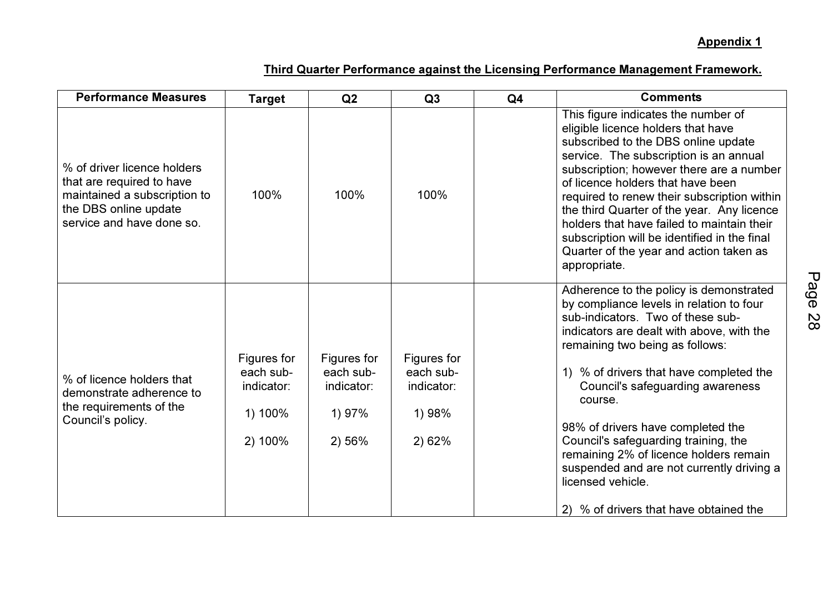| <b>Performance Measures</b>                                                                                                                    | <b>Target</b>                                                | Q2                                                         | Q3                                                         | Q <sub>4</sub> | <b>Comments</b>                                                                                                                                                                                                                                                                                                                                                                                                                                                                                                                       |
|------------------------------------------------------------------------------------------------------------------------------------------------|--------------------------------------------------------------|------------------------------------------------------------|------------------------------------------------------------|----------------|---------------------------------------------------------------------------------------------------------------------------------------------------------------------------------------------------------------------------------------------------------------------------------------------------------------------------------------------------------------------------------------------------------------------------------------------------------------------------------------------------------------------------------------|
| % of driver licence holders<br>that are required to have<br>maintained a subscription to<br>the DBS online update<br>service and have done so. | 100%                                                         | 100%                                                       | 100%                                                       |                | This figure indicates the number of<br>eligible licence holders that have<br>subscribed to the DBS online update<br>service. The subscription is an annual<br>subscription; however there are a number<br>of licence holders that have been<br>required to renew their subscription within<br>the third Quarter of the year. Any licence<br>holders that have failed to maintain their<br>subscription will be identified in the final<br>Quarter of the year and action taken as<br>appropriate.                                     |
| % of licence holders that<br>demonstrate adherence to<br>the requirements of the<br>Council's policy.                                          | Figures for<br>each sub-<br>indicator:<br>1) 100%<br>2) 100% | Figures for<br>each sub-<br>indicator:<br>1) 97%<br>2) 56% | Figures for<br>each sub-<br>indicator:<br>1) 98%<br>2) 62% |                | Adherence to the policy is demonstrated<br>by compliance levels in relation to four<br>sub-indicators. Two of these sub-<br>indicators are dealt with above, with the<br>remaining two being as follows:<br>1) % of drivers that have completed the<br>Council's safeguarding awareness<br>course.<br>98% of drivers have completed the<br>Council's safeguarding training, the<br>remaining 2% of licence holders remain<br>suspended and are not currently driving a<br>licensed vehicle.<br>2) % of drivers that have obtained the |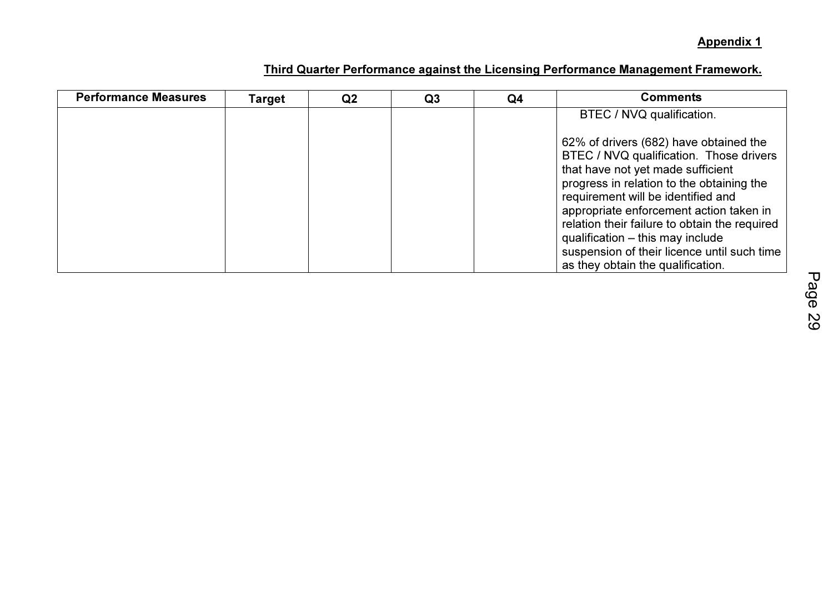| <b>Performance Measures</b> | Target | Q <sub>2</sub> | Q <sub>3</sub> | Q4 | <b>Comments</b>                                                                                                                                                                                                                                                                                                                                                                                                               |
|-----------------------------|--------|----------------|----------------|----|-------------------------------------------------------------------------------------------------------------------------------------------------------------------------------------------------------------------------------------------------------------------------------------------------------------------------------------------------------------------------------------------------------------------------------|
|                             |        |                |                |    | BTEC / NVQ qualification.                                                                                                                                                                                                                                                                                                                                                                                                     |
|                             |        |                |                |    | 62% of drivers (682) have obtained the<br>BTEC / NVQ qualification. Those drivers<br>that have not yet made sufficient<br>progress in relation to the obtaining the<br>requirement will be identified and<br>appropriate enforcement action taken in<br>relation their failure to obtain the required<br>qualification - this may include<br>suspension of their licence until such time<br>as they obtain the qualification. |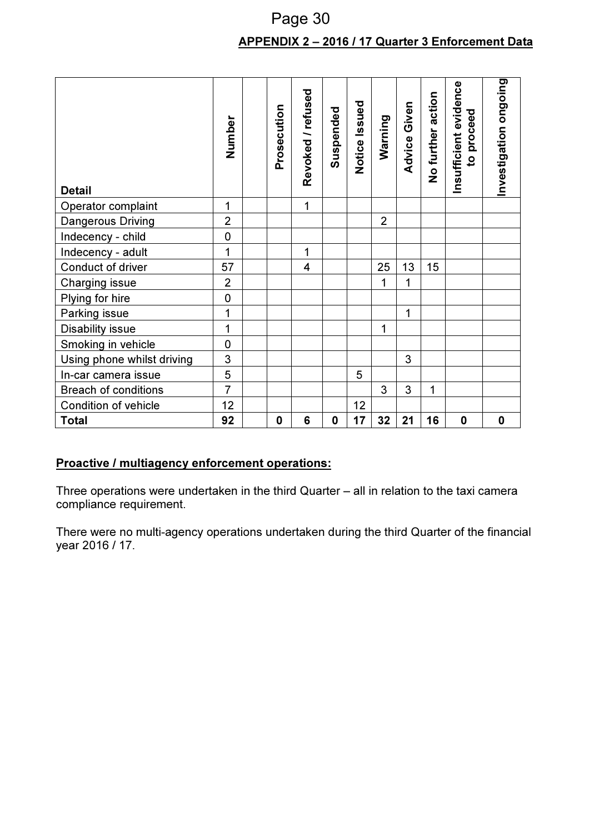## APPENDIX 2 – 2016 / 17 Quarter 3 Enforcement Data Page 30

| <b>Detail</b>               | Number         | Prosecution | Revoked / refused       | Suspended   | Notice Issued | Warning        | Advice Given | No further action | Insufficient evidence<br>proceed<br>$\overline{\mathbf{c}}$ | Investigation ongoing |
|-----------------------------|----------------|-------------|-------------------------|-------------|---------------|----------------|--------------|-------------------|-------------------------------------------------------------|-----------------------|
| Operator complaint          | 1              |             | $\mathbf{1}$            |             |               |                |              |                   |                                                             |                       |
| Dangerous Driving           | $\overline{2}$ |             |                         |             |               | $\overline{2}$ |              |                   |                                                             |                       |
| Indecency - child           | $\overline{0}$ |             |                         |             |               |                |              |                   |                                                             |                       |
| Indecency - adult           | 1              |             | 1                       |             |               |                |              |                   |                                                             |                       |
| Conduct of driver           | 57             |             | $\overline{\mathbf{4}}$ |             |               | 25             | 13           | 15                |                                                             |                       |
| Charging issue              | $\overline{2}$ |             |                         |             |               | $\mathbf{1}$   | 1            |                   |                                                             |                       |
| Plying for hire             | $\mathbf 0$    |             |                         |             |               |                |              |                   |                                                             |                       |
| Parking issue               | 1              |             |                         |             |               |                | 1            |                   |                                                             |                       |
| Disability issue            | 1              |             |                         |             |               | $\mathbf{1}$   |              |                   |                                                             |                       |
| Smoking in vehicle          | $\overline{0}$ |             |                         |             |               |                |              |                   |                                                             |                       |
| Using phone whilst driving  | 3              |             |                         |             |               |                | 3            |                   |                                                             |                       |
| In-car camera issue         | 5              |             |                         |             | 5             |                |              |                   |                                                             |                       |
| <b>Breach of conditions</b> | $\overline{7}$ |             |                         |             |               | 3              | 3            | 1                 |                                                             |                       |
| <b>Condition of vehicle</b> | 12             |             |                         |             | 12            |                |              |                   |                                                             |                       |
| <b>Total</b>                | 92             | 0           | 6                       | $\mathbf 0$ | 17            | 32             | 21           | 16                | $\mathbf 0$                                                 | $\mathbf 0$           |

## Proactive / multiagency enforcement operations:

Three operations were undertaken in the third Quarter – all in relation to the taxi camera compliance requirement.

There were no multi-agency operations undertaken during the third Quarter of the financial year 2016 / 17.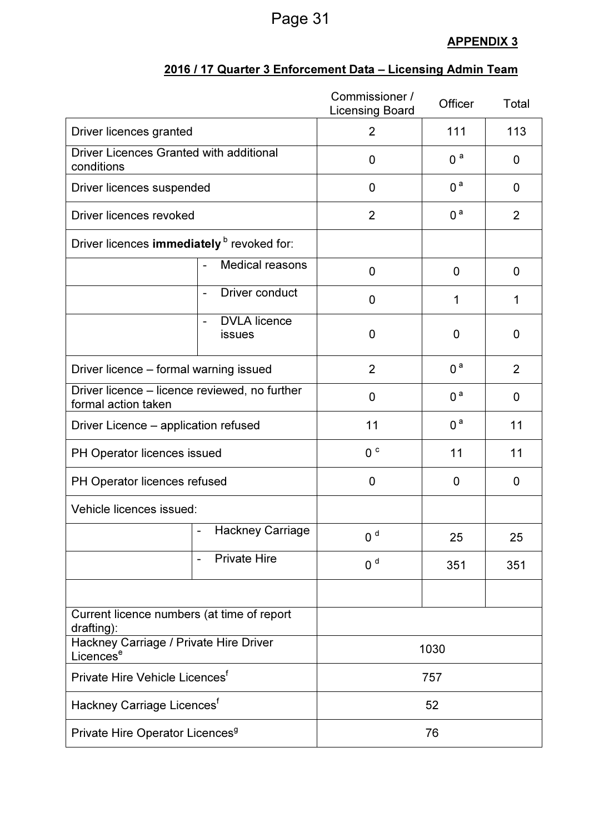# Page 31

## APPENDIX 3

|                                                                      |                                                          | Commissioner /<br><b>Licensing Board</b> | Officer                          | Total          |
|----------------------------------------------------------------------|----------------------------------------------------------|------------------------------------------|----------------------------------|----------------|
| Driver licences granted                                              |                                                          | $\overline{2}$                           | 111<br>113                       |                |
| <b>Driver Licences Granted with additional</b><br>conditions         |                                                          | 0                                        | 0 <sup>a</sup>                   | 0              |
| Driver licences suspended                                            |                                                          | 0 <sup>a</sup><br>0                      |                                  | 0              |
| Driver licences revoked                                              |                                                          | $\overline{2}$                           | 0 <sup>a</sup><br>$\overline{2}$ |                |
| Driver licences immediately <sup>b</sup> revoked for:                |                                                          |                                          |                                  |                |
|                                                                      | Medical reasons                                          | 0                                        | $\mathbf 0$                      | $\mathbf 0$    |
|                                                                      | Driver conduct<br>$\overline{\phantom{a}}$               | 0                                        | 1                                | 1              |
|                                                                      | <b>DVLA</b> licence<br><b>issues</b>                     | 0                                        | $\mathbf{0}$                     | 0              |
|                                                                      | $\overline{2}$<br>Driver licence – formal warning issued |                                          | 0 <sup>a</sup>                   | $\overline{2}$ |
| Driver licence - licence reviewed, no further<br>formal action taken |                                                          | 0                                        | 0 <sup>a</sup>                   | 0              |
| Driver Licence – application refused                                 |                                                          | 11                                       | 0 <sup>a</sup>                   | 11             |
| PH Operator licences issued                                          |                                                          | 0 <sup>c</sup>                           | 11<br>11                         |                |
| PH Operator licences refused                                         |                                                          | 0                                        | $\mathbf 0$                      | $\mathbf 0$    |
| Vehicle licences issued:                                             |                                                          |                                          |                                  |                |
|                                                                      | <b>Hackney Carriage</b><br>$\overline{\phantom{a}}$      | 0 <sup>d</sup>                           | 25                               | 25             |
|                                                                      | <b>Private Hire</b><br>$\overline{\phantom{a}}$          | 0 <sup>d</sup>                           | 351                              | 351            |
|                                                                      |                                                          |                                          |                                  |                |
| Current licence numbers (at time of report<br>drafting):             |                                                          |                                          |                                  |                |
| Hackney Carriage / Private Hire Driver<br>Licences <sup>e</sup>      |                                                          | 1030                                     |                                  |                |
| Private Hire Vehicle Licences <sup>f</sup>                           |                                                          | 757                                      |                                  |                |
| Hackney Carriage Licences <sup>t</sup>                               |                                                          | 52                                       |                                  |                |
| Private Hire Operator Licences <sup>9</sup>                          |                                                          |                                          | 76                               |                |

## 2016 / 17 Quarter 3 Enforcement Data – Licensing Admin Team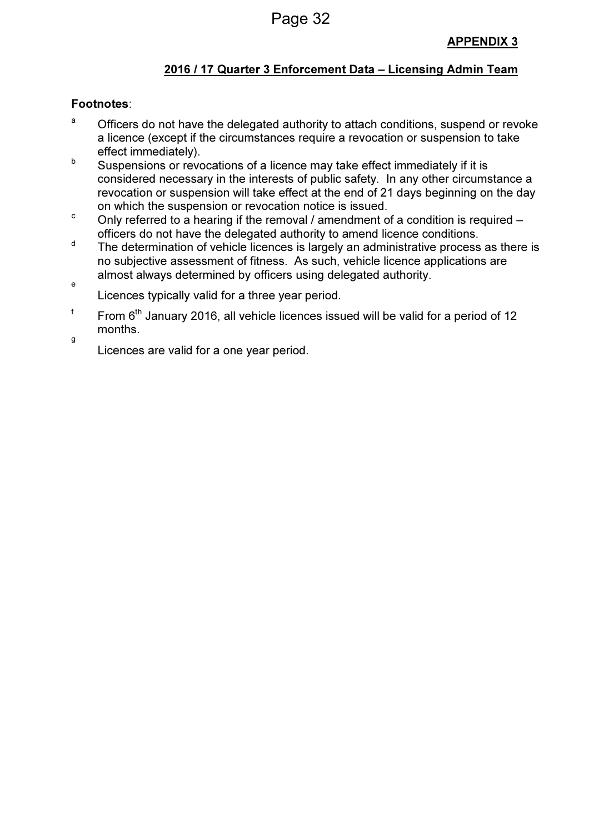## 2016 / 17 Quarter 3 Enforcement Data – Licensing Admin Team

## Footnotes:

e

- <sup>a</sup> Officers do not have the delegated authority to attach conditions, suspend or revoke a licence (except if the circumstances require a revocation or suspension to take effect immediately).
- b Suspensions or revocations of a licence may take effect immediately if it is considered necessary in the interests of public safety. In any other circumstance a revocation or suspension will take effect at the end of 21 days beginning on the day on which the suspension or revocation notice is issued.
- <sup>c</sup> Only referred to a hearing if the removal / amendment of a condition is required officers do not have the delegated authority to amend licence conditions.
- <sup>d</sup> The determination of vehicle licences is largely an administrative process as there is no subjective assessment of fitness. As such, vehicle licence applications are almost always determined by officers using delegated authority.
- Licences typically valid for a three year period.
- f From  $6<sup>th</sup>$  January 2016, all vehicle licences issued will be valid for a period of 12 months. g

Licences are valid for a one year period.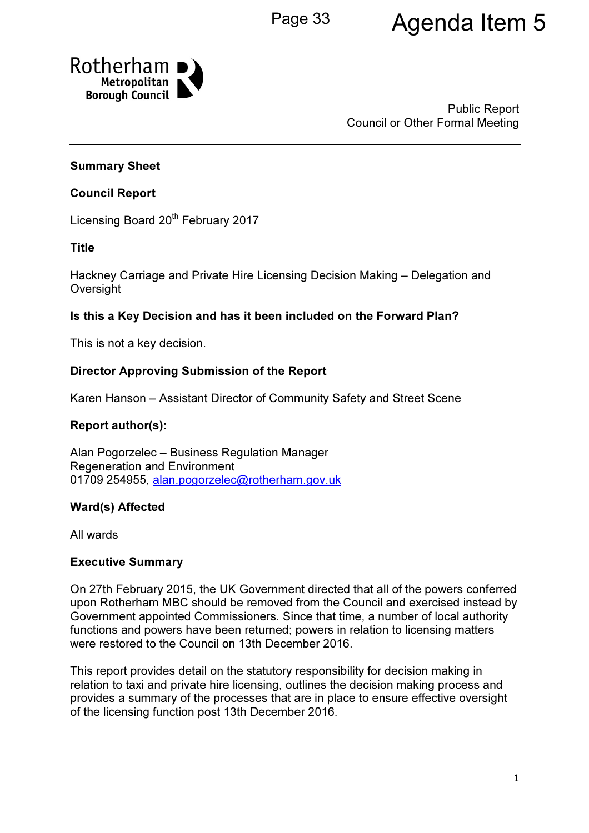# Page 33 **Agenda Item 5**



Public Report Council or Other Formal Meeting

## Summary Sheet

## Council Report

Licensing Board 20<sup>th</sup> February 2017

## Title

Hackney Carriage and Private Hire Licensing Decision Making – Delegation and **Oversight** 

## Is this a Key Decision and has it been included on the Forward Plan?

This is not a key decision.

## Director Approving Submission of the Report

Karen Hanson – Assistant Director of Community Safety and Street Scene

## Report author(s):

Alan Pogorzelec – Business Regulation Manager Regeneration and Environment 01709 254955, alan.pogorzelec@rotherham.gov.uk

## Ward(s) Affected

All wards

#### Executive Summary

On 27th February 2015, the UK Government directed that all of the powers conferred upon Rotherham MBC should be removed from the Council and exercised instead by Government appointed Commissioners. Since that time, a number of local authority functions and powers have been returned; powers in relation to licensing matters were restored to the Council on 13th December 2016.

This report provides detail on the statutory responsibility for decision making in relation to taxi and private hire licensing, outlines the decision making process and provides a summary of the processes that are in place to ensure effective oversight of the licensing function post 13th December 2016.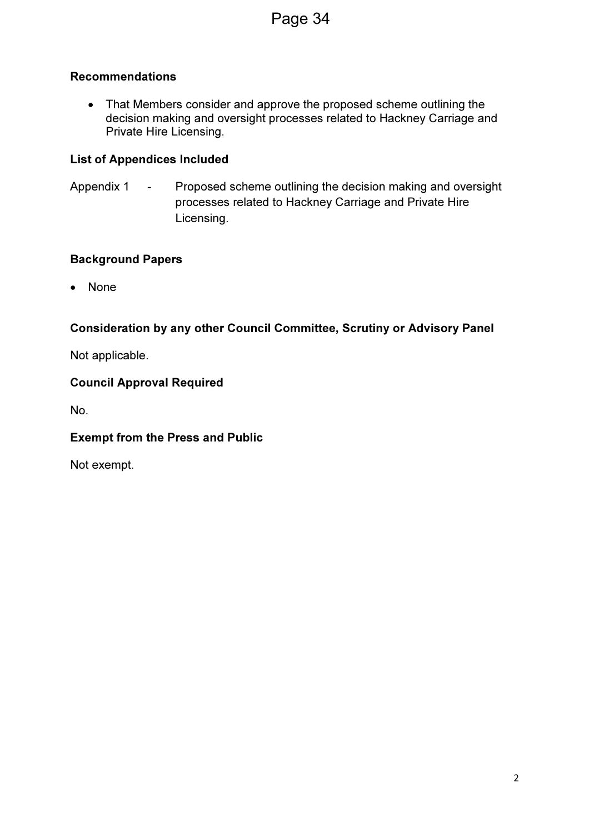## Recommendations

• That Members consider and approve the proposed scheme outlining the decision making and oversight processes related to Hackney Carriage and Private Hire Licensing.

## List of Appendices Included

Appendix 1 - Proposed scheme outlining the decision making and oversight processes related to Hackney Carriage and Private Hire Licensing.

## Background Papers

• None

## Consideration by any other Council Committee, Scrutiny or Advisory Panel

Not applicable.

## Council Approval Required

No.

## Exempt from the Press and Public

Not exempt.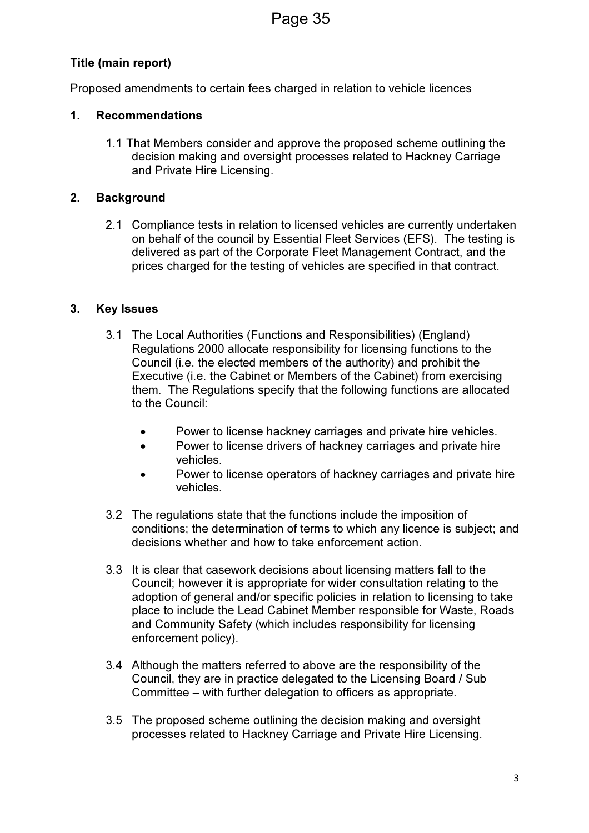## Title (main report)

Proposed amendments to certain fees charged in relation to vehicle licences

## 1. Recommendations

1.1 That Members consider and approve the proposed scheme outlining the decision making and oversight processes related to Hackney Carriage and Private Hire Licensing.

## 2. Background

2.1 Compliance tests in relation to licensed vehicles are currently undertaken on behalf of the council by Essential Fleet Services (EFS). The testing is delivered as part of the Corporate Fleet Management Contract, and the prices charged for the testing of vehicles are specified in that contract.

## 3. Key Issues

- 3.1 The Local Authorities (Functions and Responsibilities) (England) Regulations 2000 allocate responsibility for licensing functions to the Council (i.e. the elected members of the authority) and prohibit the Executive (i.e. the Cabinet or Members of the Cabinet) from exercising them. The Regulations specify that the following functions are allocated to the Council:
	- Power to license hackney carriages and private hire vehicles.
	- Power to license drivers of hackney carriages and private hire vehicles.
	- Power to license operators of hackney carriages and private hire vehicles.
- 3.2 The regulations state that the functions include the imposition of conditions; the determination of terms to which any licence is subject; and decisions whether and how to take enforcement action.
- 3.3 It is clear that casework decisions about licensing matters fall to the Council; however it is appropriate for wider consultation relating to the adoption of general and/or specific policies in relation to licensing to take place to include the Lead Cabinet Member responsible for Waste, Roads and Community Safety (which includes responsibility for licensing enforcement policy).
- 3.4 Although the matters referred to above are the responsibility of the Council, they are in practice delegated to the Licensing Board / Sub Committee – with further delegation to officers as appropriate.
- 3.5 The proposed scheme outlining the decision making and oversight processes related to Hackney Carriage and Private Hire Licensing.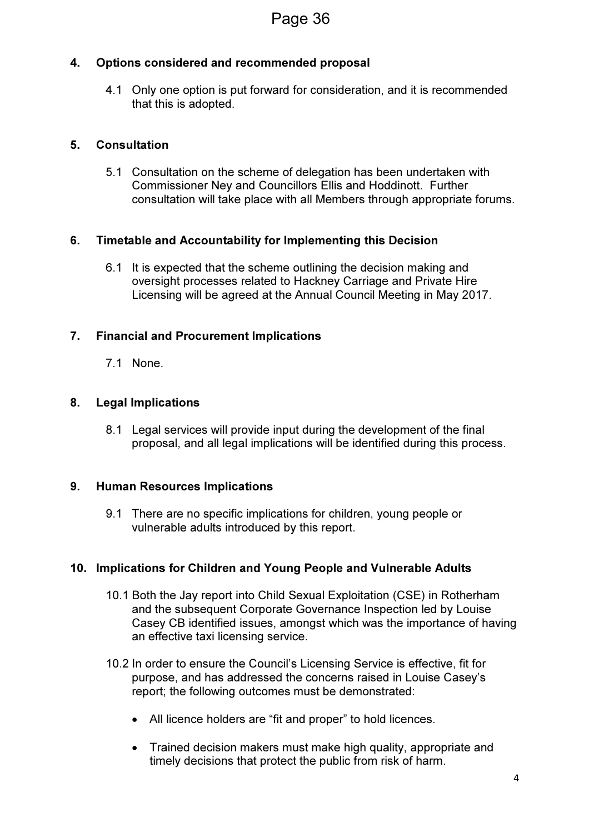## 4. Options considered and recommended proposal

4.1 Only one option is put forward for consideration, and it is recommended that this is adopted.

## 5. Consultation

5.1 Consultation on the scheme of delegation has been undertaken with Commissioner Ney and Councillors Ellis and Hoddinott. Further consultation will take place with all Members through appropriate forums.

## 6. Timetable and Accountability for Implementing this Decision

6.1 It is expected that the scheme outlining the decision making and oversight processes related to Hackney Carriage and Private Hire Licensing will be agreed at the Annual Council Meeting in May 2017.

## 7. Financial and Procurement Implications

7.1 None.

#### 8. Legal Implications

8.1 Legal services will provide input during the development of the final proposal, and all legal implications will be identified during this process.

#### 9. Human Resources Implications

9.1 There are no specific implications for children, young people or vulnerable adults introduced by this report.

#### 10. Implications for Children and Young People and Vulnerable Adults

- 10.1 Both the Jay report into Child Sexual Exploitation (CSE) in Rotherham and the subsequent Corporate Governance Inspection led by Louise Casey CB identified issues, amongst which was the importance of having an effective taxi licensing service.
- 10.2 In order to ensure the Council's Licensing Service is effective, fit for purpose, and has addressed the concerns raised in Louise Casey's report; the following outcomes must be demonstrated:
	- All licence holders are "fit and proper" to hold licences.
	- Trained decision makers must make high quality, appropriate and timely decisions that protect the public from risk of harm.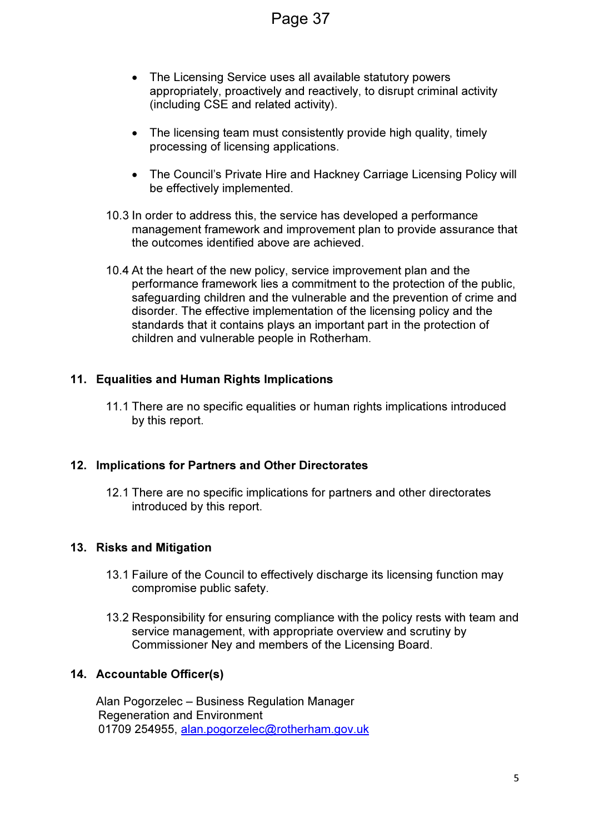- The Licensing Service uses all available statutory powers appropriately, proactively and reactively, to disrupt criminal activity (including CSE and related activity).
- The licensing team must consistently provide high quality, timely processing of licensing applications.
- The Council's Private Hire and Hackney Carriage Licensing Policy will be effectively implemented.
- 10.3 In order to address this, the service has developed a performance management framework and improvement plan to provide assurance that the outcomes identified above are achieved.
- 10.4 At the heart of the new policy, service improvement plan and the performance framework lies a commitment to the protection of the public, safeguarding children and the vulnerable and the prevention of crime and disorder. The effective implementation of the licensing policy and the standards that it contains plays an important part in the protection of children and vulnerable people in Rotherham.

## 11. Equalities and Human Rights Implications

11.1 There are no specific equalities or human rights implications introduced by this report.

## 12. Implications for Partners and Other Directorates

12.1 There are no specific implications for partners and other directorates introduced by this report.

## 13. Risks and Mitigation

- 13.1 Failure of the Council to effectively discharge its licensing function may compromise public safety.
- 13.2 Responsibility for ensuring compliance with the policy rests with team and service management, with appropriate overview and scrutiny by Commissioner Ney and members of the Licensing Board.

## 14. Accountable Officer(s)

Alan Pogorzelec – Business Regulation Manager Regeneration and Environment 01709 254955, alan.pogorzelec@rotherham.gov.uk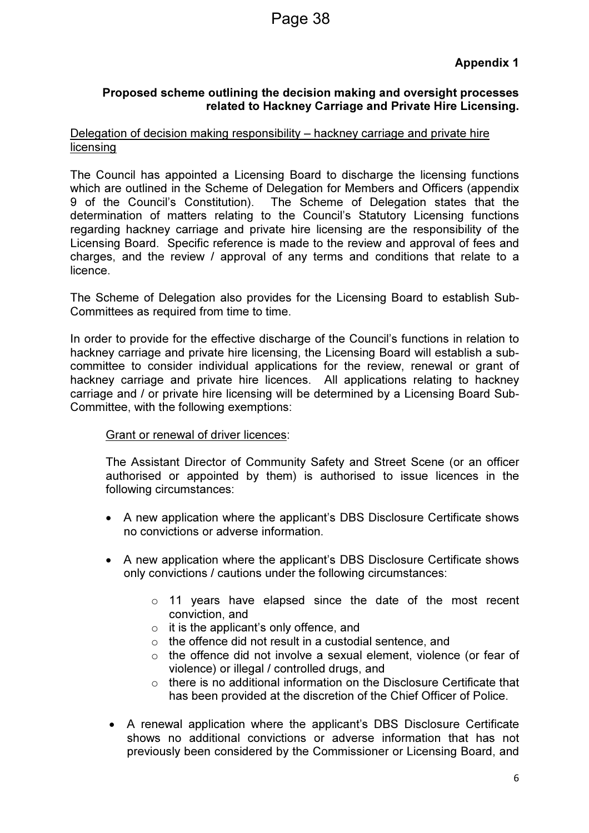## Proposed scheme outlining the decision making and oversight processes related to Hackney Carriage and Private Hire Licensing.

## Delegation of decision making responsibility – hackney carriage and private hire licensing

The Council has appointed a Licensing Board to discharge the licensing functions which are outlined in the Scheme of Delegation for Members and Officers (appendix 9 of the Council's Constitution). The Scheme of Delegation states that the determination of matters relating to the Council's Statutory Licensing functions regarding hackney carriage and private hire licensing are the responsibility of the Licensing Board. Specific reference is made to the review and approval of fees and charges, and the review / approval of any terms and conditions that relate to a licence.

The Scheme of Delegation also provides for the Licensing Board to establish Sub-Committees as required from time to time.

In order to provide for the effective discharge of the Council's functions in relation to hackney carriage and private hire licensing, the Licensing Board will establish a subcommittee to consider individual applications for the review, renewal or grant of hackney carriage and private hire licences. All applications relating to hackney carriage and / or private hire licensing will be determined by a Licensing Board Sub-Committee, with the following exemptions:

#### Grant or renewal of driver licences:

The Assistant Director of Community Safety and Street Scene (or an officer authorised or appointed by them) is authorised to issue licences in the following circumstances:

- A new application where the applicant's DBS Disclosure Certificate shows no convictions or adverse information.
- A new application where the applicant's DBS Disclosure Certificate shows only convictions / cautions under the following circumstances:
	- o 11 years have elapsed since the date of the most recent conviction, and
	- $\circ$  it is the applicant's only offence, and
	- $\circ$  the offence did not result in a custodial sentence, and
	- o the offence did not involve a sexual element, violence (or fear of violence) or illegal / controlled drugs, and
	- o there is no additional information on the Disclosure Certificate that has been provided at the discretion of the Chief Officer of Police.
- A renewal application where the applicant's DBS Disclosure Certificate shows no additional convictions or adverse information that has not previously been considered by the Commissioner or Licensing Board, and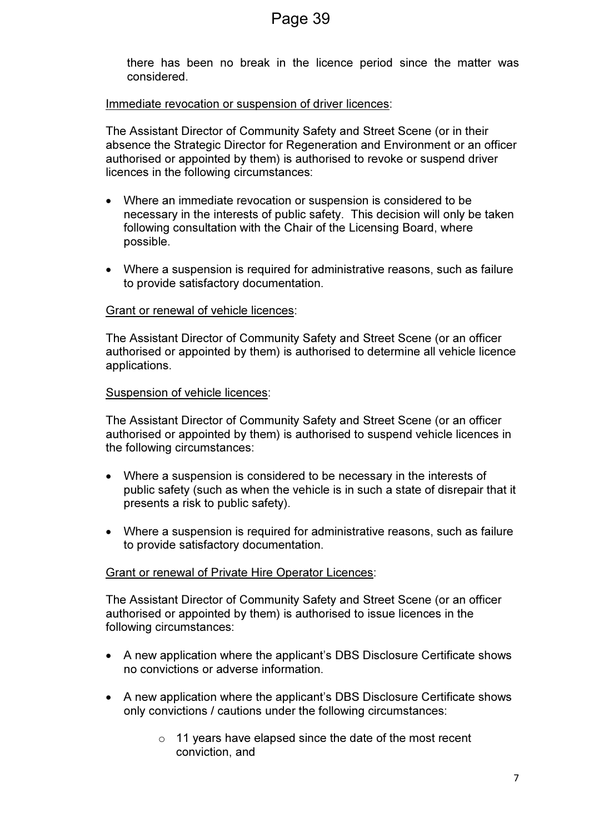there has been no break in the licence period since the matter was considered.

#### Immediate revocation or suspension of driver licences:

The Assistant Director of Community Safety and Street Scene (or in their absence the Strategic Director for Regeneration and Environment or an officer authorised or appointed by them) is authorised to revoke or suspend driver licences in the following circumstances:

- Where an immediate revocation or suspension is considered to be necessary in the interests of public safety. This decision will only be taken following consultation with the Chair of the Licensing Board, where possible.
- Where a suspension is required for administrative reasons, such as failure to provide satisfactory documentation.

#### Grant or renewal of vehicle licences:

The Assistant Director of Community Safety and Street Scene (or an officer authorised or appointed by them) is authorised to determine all vehicle licence applications.

#### Suspension of vehicle licences:

The Assistant Director of Community Safety and Street Scene (or an officer authorised or appointed by them) is authorised to suspend vehicle licences in the following circumstances:

- Where a suspension is considered to be necessary in the interests of public safety (such as when the vehicle is in such a state of disrepair that it presents a risk to public safety).
- Where a suspension is required for administrative reasons, such as failure to provide satisfactory documentation.

#### Grant or renewal of Private Hire Operator Licences:

The Assistant Director of Community Safety and Street Scene (or an officer authorised or appointed by them) is authorised to issue licences in the following circumstances:

- A new application where the applicant's DBS Disclosure Certificate shows no convictions or adverse information.
- A new application where the applicant's DBS Disclosure Certificate shows only convictions / cautions under the following circumstances:
	- o 11 years have elapsed since the date of the most recent conviction, and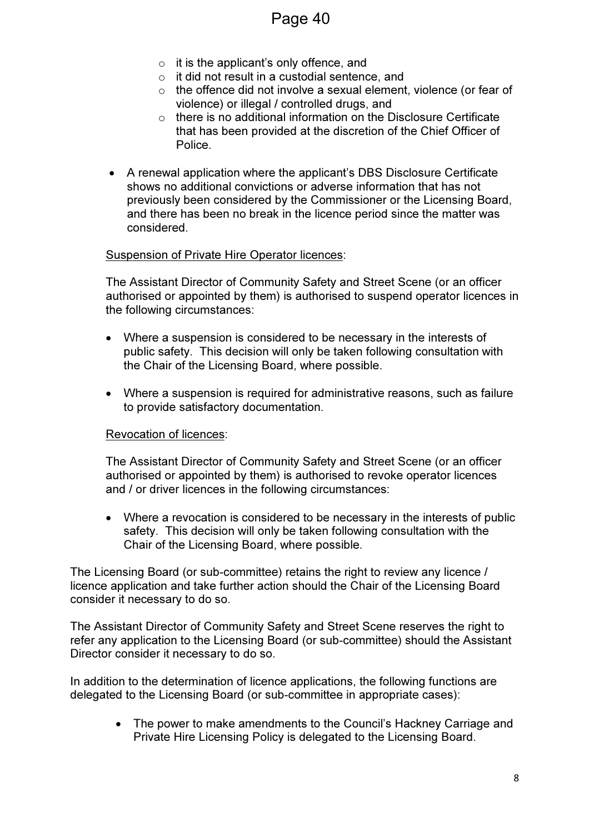- $\circ$  it is the applicant's only offence, and
- o it did not result in a custodial sentence, and
- $\circ$  the offence did not involve a sexual element, violence (or fear of violence) or illegal / controlled drugs, and
- $\circ$  there is no additional information on the Disclosure Certificate that has been provided at the discretion of the Chief Officer of Police.
- A renewal application where the applicant's DBS Disclosure Certificate shows no additional convictions or adverse information that has not previously been considered by the Commissioner or the Licensing Board, and there has been no break in the licence period since the matter was considered.

#### Suspension of Private Hire Operator licences:

The Assistant Director of Community Safety and Street Scene (or an officer authorised or appointed by them) is authorised to suspend operator licences in the following circumstances:

- Where a suspension is considered to be necessary in the interests of public safety. This decision will only be taken following consultation with the Chair of the Licensing Board, where possible.
- Where a suspension is required for administrative reasons, such as failure to provide satisfactory documentation.

#### Revocation of licences:

The Assistant Director of Community Safety and Street Scene (or an officer authorised or appointed by them) is authorised to revoke operator licences and / or driver licences in the following circumstances:

• Where a revocation is considered to be necessary in the interests of public safety. This decision will only be taken following consultation with the Chair of the Licensing Board, where possible.

The Licensing Board (or sub-committee) retains the right to review any licence / licence application and take further action should the Chair of the Licensing Board consider it necessary to do so.

The Assistant Director of Community Safety and Street Scene reserves the right to refer any application to the Licensing Board (or sub-committee) should the Assistant Director consider it necessary to do so.

In addition to the determination of licence applications, the following functions are delegated to the Licensing Board (or sub-committee in appropriate cases):

> • The power to make amendments to the Council's Hackney Carriage and Private Hire Licensing Policy is delegated to the Licensing Board.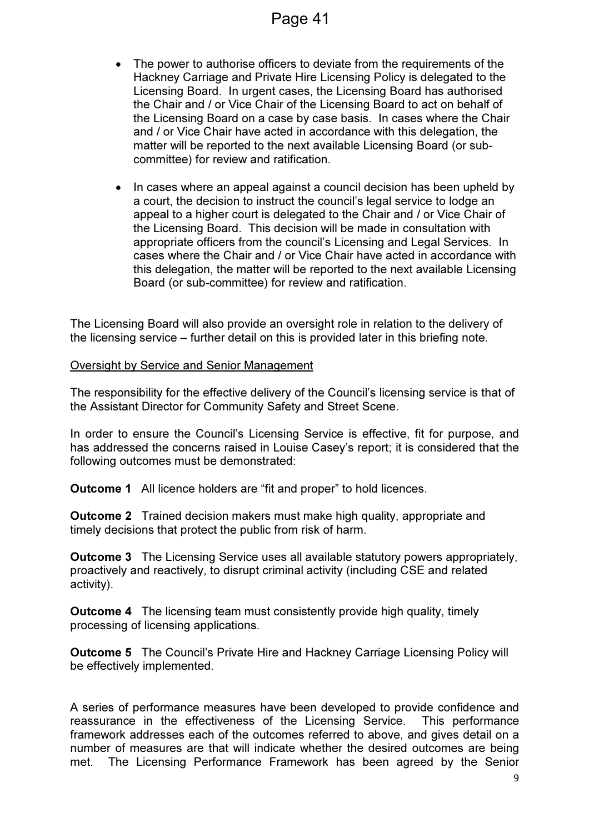- The power to authorise officers to deviate from the requirements of the Hackney Carriage and Private Hire Licensing Policy is delegated to the Licensing Board. In urgent cases, the Licensing Board has authorised the Chair and / or Vice Chair of the Licensing Board to act on behalf of the Licensing Board on a case by case basis. In cases where the Chair and / or Vice Chair have acted in accordance with this delegation, the matter will be reported to the next available Licensing Board (or subcommittee) for review and ratification.
- In cases where an appeal against a council decision has been upheld by a court, the decision to instruct the council's legal service to lodge an appeal to a higher court is delegated to the Chair and / or Vice Chair of the Licensing Board. This decision will be made in consultation with appropriate officers from the council's Licensing and Legal Services. In cases where the Chair and / or Vice Chair have acted in accordance with this delegation, the matter will be reported to the next available Licensing Board (or sub-committee) for review and ratification.

The Licensing Board will also provide an oversight role in relation to the delivery of the licensing service – further detail on this is provided later in this briefing note.

#### Oversight by Service and Senior Management

The responsibility for the effective delivery of the Council's licensing service is that of the Assistant Director for Community Safety and Street Scene.

In order to ensure the Council's Licensing Service is effective, fit for purpose, and has addressed the concerns raised in Louise Casey's report; it is considered that the following outcomes must be demonstrated:

**Outcome 1** All licence holders are "fit and proper" to hold licences.

Outcome 2 Trained decision makers must make high quality, appropriate and timely decisions that protect the public from risk of harm.

Outcome 3 The Licensing Service uses all available statutory powers appropriately, proactively and reactively, to disrupt criminal activity (including CSE and related activity).

Outcome 4 The licensing team must consistently provide high quality, timely processing of licensing applications.

Outcome 5 The Council's Private Hire and Hackney Carriage Licensing Policy will be effectively implemented.

A series of performance measures have been developed to provide confidence and reassurance in the effectiveness of the Licensing Service. This performance framework addresses each of the outcomes referred to above, and gives detail on a number of measures are that will indicate whether the desired outcomes are being met. The Licensing Performance Framework has been agreed by the Senior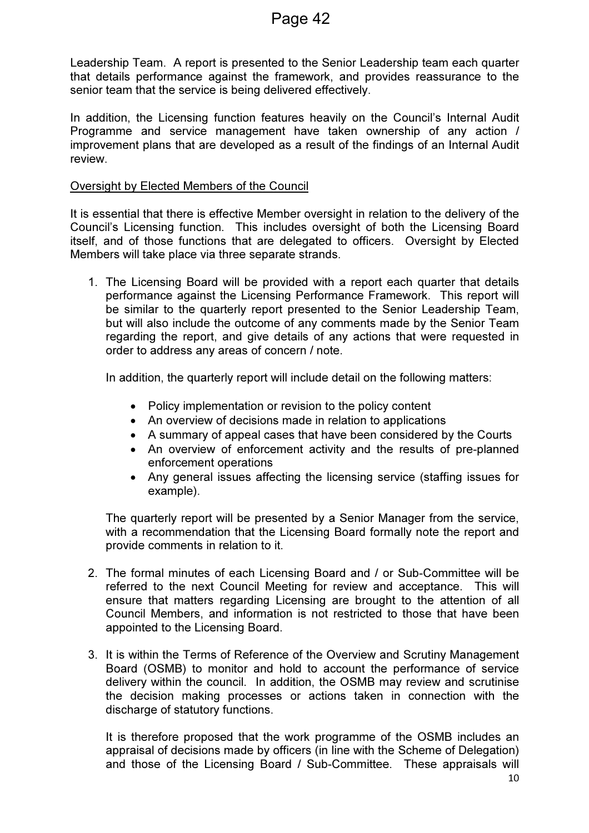Leadership Team. A report is presented to the Senior Leadership team each quarter that details performance against the framework, and provides reassurance to the senior team that the service is being delivered effectively.

In addition, the Licensing function features heavily on the Council's Internal Audit Programme and service management have taken ownership of any action / improvement plans that are developed as a result of the findings of an Internal Audit review.

#### Oversight by Elected Members of the Council

It is essential that there is effective Member oversight in relation to the delivery of the Council's Licensing function. This includes oversight of both the Licensing Board itself, and of those functions that are delegated to officers. Oversight by Elected Members will take place via three separate strands.

1. The Licensing Board will be provided with a report each quarter that details performance against the Licensing Performance Framework. This report will be similar to the quarterly report presented to the Senior Leadership Team, but will also include the outcome of any comments made by the Senior Team regarding the report, and give details of any actions that were requested in order to address any areas of concern / note.

In addition, the quarterly report will include detail on the following matters:

- Policy implementation or revision to the policy content
- An overview of decisions made in relation to applications
- A summary of appeal cases that have been considered by the Courts
- An overview of enforcement activity and the results of pre-planned enforcement operations
- Any general issues affecting the licensing service (staffing issues for example).

The quarterly report will be presented by a Senior Manager from the service, with a recommendation that the Licensing Board formally note the report and provide comments in relation to it.

- 2. The formal minutes of each Licensing Board and / or Sub-Committee will be referred to the next Council Meeting for review and acceptance. This will ensure that matters regarding Licensing are brought to the attention of all Council Members, and information is not restricted to those that have been appointed to the Licensing Board.
- 3. It is within the Terms of Reference of the Overview and Scrutiny Management Board (OSMB) to monitor and hold to account the performance of service delivery within the council. In addition, the OSMB may review and scrutinise the decision making processes or actions taken in connection with the discharge of statutory functions.

It is therefore proposed that the work programme of the OSMB includes an appraisal of decisions made by officers (in line with the Scheme of Delegation) and those of the Licensing Board / Sub-Committee. These appraisals will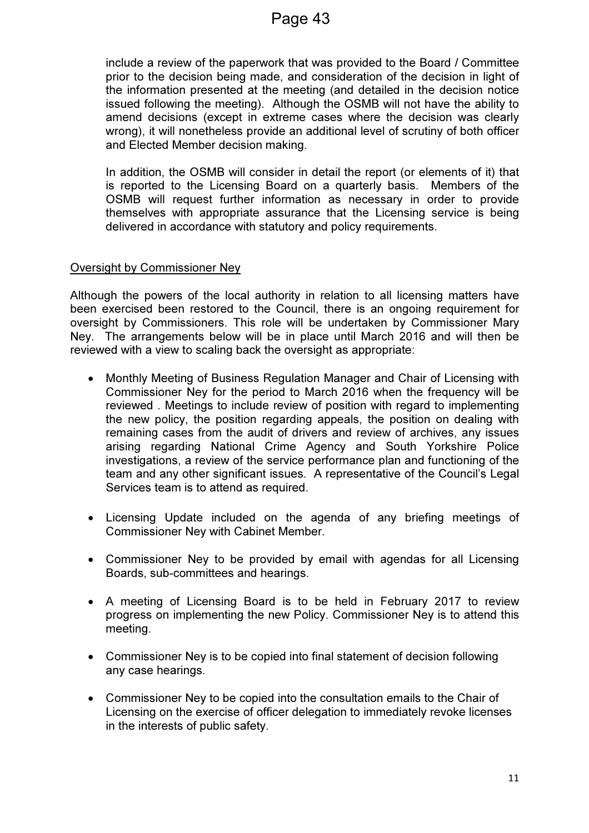include a review of the paperwork that was provided to the Board / Committee prior to the decision being made, and consideration of the decision in light of the information presented at the meeting (and detailed in the decision notice issued following the meeting). Although the OSMB will not have the ability to amend decisions (except in extreme cases where the decision was clearly wrong), it will nonetheless provide an additional level of scrutiny of both officer and Elected Member decision making.

In addition, the OSMB will consider in detail the report (or elements of it) that is reported to the Licensing Board on a quarterly basis. Members of the OSMB will request further information as necessary in order to provide themselves with appropriate assurance that the Licensing service is being delivered in accordance with statutory and policy requirements.

#### Oversight by Commissioner Ney

Although the powers of the local authority in relation to all licensing matters have been exercised been restored to the Council, there is an ongoing requirement for oversight by Commissioners. This role will be undertaken by Commissioner Mary Ney. The arrangements below will be in place until March 2016 and will then be reviewed with a view to scaling back the oversight as appropriate:

- Monthly Meeting of Business Regulation Manager and Chair of Licensing with Commissioner Ney for the period to March 2016 when the frequency will be reviewed . Meetings to include review of position with regard to implementing the new policy, the position regarding appeals, the position on dealing with remaining cases from the audit of drivers and review of archives, any issues arising regarding National Crime Agency and South Yorkshire Police investigations, a review of the service performance plan and functioning of the team and any other significant issues. A representative of the Council's Legal Services team is to attend as required.
- Licensing Update included on the agenda of any briefing meetings of Commissioner Ney with Cabinet Member.
- Commissioner Ney to be provided by email with agendas for all Licensing Boards, sub-committees and hearings.
- A meeting of Licensing Board is to be held in February 2017 to review progress on implementing the new Policy. Commissioner Ney is to attend this meeting.
- Commissioner Ney is to be copied into final statement of decision following any case hearings.
- Commissioner Ney to be copied into the consultation emails to the Chair of Licensing on the exercise of officer delegation to immediately revoke licenses in the interests of public safety.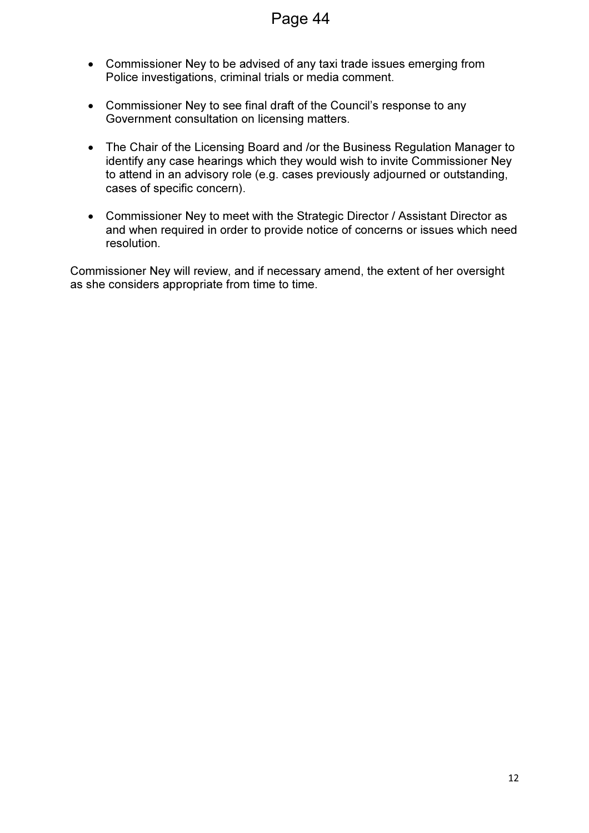- Commissioner Ney to be advised of any taxi trade issues emerging from Police investigations, criminal trials or media comment.
- Commissioner Ney to see final draft of the Council's response to any Government consultation on licensing matters.
- The Chair of the Licensing Board and /or the Business Regulation Manager to identify any case hearings which they would wish to invite Commissioner Ney to attend in an advisory role (e.g. cases previously adjourned or outstanding, cases of specific concern).
- Commissioner Ney to meet with the Strategic Director / Assistant Director as and when required in order to provide notice of concerns or issues which need resolution.

Commissioner Ney will review, and if necessary amend, the extent of her oversight as she considers appropriate from time to time.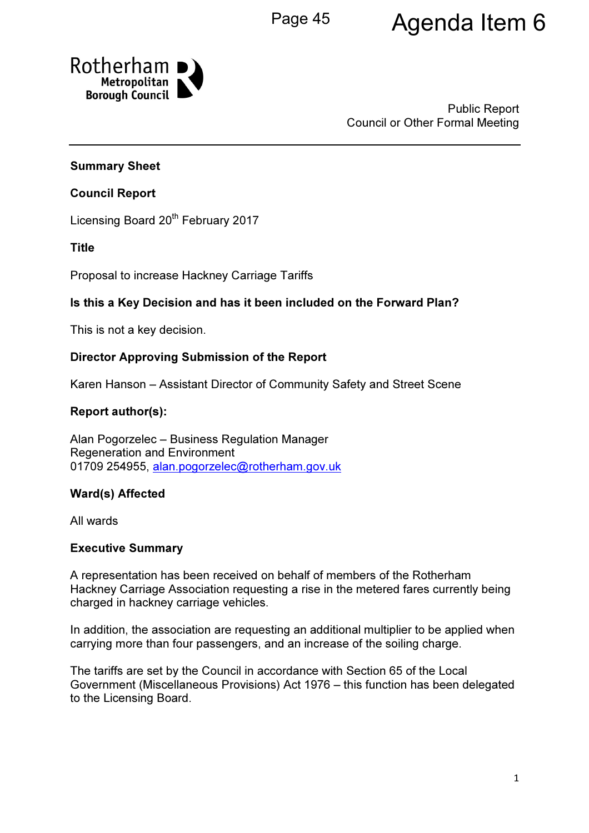# Page 45 Agenda Item 6



Public Report Council or Other Formal Meeting

## Summary Sheet

## Council Report

Licensing Board 20<sup>th</sup> February 2017

## Title

Proposal to increase Hackney Carriage Tariffs

## Is this a Key Decision and has it been included on the Forward Plan?

This is not a key decision.

## Director Approving Submission of the Report

Karen Hanson – Assistant Director of Community Safety and Street Scene

## Report author(s):

Alan Pogorzelec – Business Regulation Manager Regeneration and Environment 01709 254955, alan.pogorzelec@rotherham.gov.uk

## Ward(s) Affected

All wards

## Executive Summary

A representation has been received on behalf of members of the Rotherham Hackney Carriage Association requesting a rise in the metered fares currently being charged in hackney carriage vehicles.

In addition, the association are requesting an additional multiplier to be applied when carrying more than four passengers, and an increase of the soiling charge.

The tariffs are set by the Council in accordance with Section 65 of the Local Government (Miscellaneous Provisions) Act 1976 – this function has been delegated to the Licensing Board.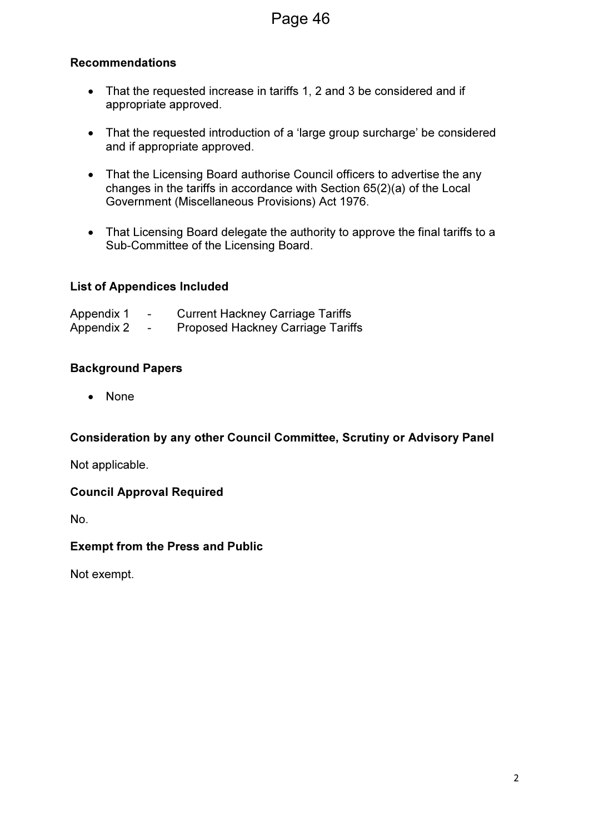## Recommendations

- That the requested increase in tariffs 1, 2 and 3 be considered and if appropriate approved.
- That the requested introduction of a 'large group surcharge' be considered and if appropriate approved.
- That the Licensing Board authorise Council officers to advertise the any changes in the tariffs in accordance with Section 65(2)(a) of the Local Government (Miscellaneous Provisions) Act 1976.
- That Licensing Board delegate the authority to approve the final tariffs to a Sub-Committee of the Licensing Board.

## List of Appendices Included

| Appendix 1 | -                        | <b>Current Hackney Carriage Tariffs</b>  |
|------------|--------------------------|------------------------------------------|
| Appendix 2 | $\overline{\phantom{0}}$ | <b>Proposed Hackney Carriage Tariffs</b> |

## Background Papers

• None

## Consideration by any other Council Committee, Scrutiny or Advisory Panel

Not applicable.

#### Council Approval Required

No.

#### Exempt from the Press and Public

Not exempt.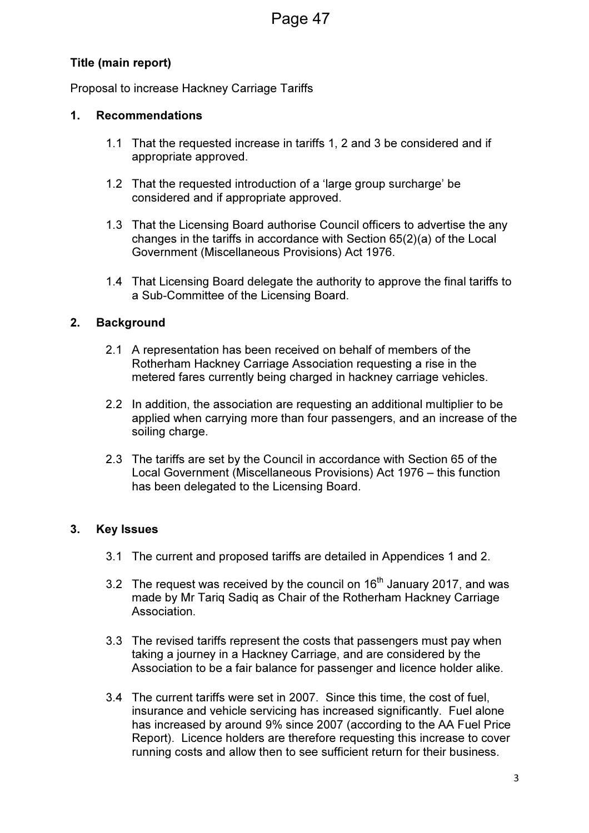## Title (main report)

Proposal to increase Hackney Carriage Tariffs

## 1. Recommendations

- 1.1 That the requested increase in tariffs 1, 2 and 3 be considered and if appropriate approved.
- 1.2 That the requested introduction of a 'large group surcharge' be considered and if appropriate approved.
- 1.3 That the Licensing Board authorise Council officers to advertise the any changes in the tariffs in accordance with Section 65(2)(a) of the Local Government (Miscellaneous Provisions) Act 1976.
- 1.4 That Licensing Board delegate the authority to approve the final tariffs to a Sub-Committee of the Licensing Board.

## 2. Background

- 2.1 A representation has been received on behalf of members of the Rotherham Hackney Carriage Association requesting a rise in the metered fares currently being charged in hackney carriage vehicles.
- 2.2 In addition, the association are requesting an additional multiplier to be applied when carrying more than four passengers, and an increase of the soiling charge.
- 2.3 The tariffs are set by the Council in accordance with Section 65 of the Local Government (Miscellaneous Provisions) Act 1976 – this function has been delegated to the Licensing Board.

## 3. Key Issues

- 3.1 The current and proposed tariffs are detailed in Appendices 1 and 2.
- 3.2 The request was received by the council on  $16<sup>th</sup>$  January 2017, and was made by Mr Tariq Sadiq as Chair of the Rotherham Hackney Carriage Association.
- 3.3 The revised tariffs represent the costs that passengers must pay when taking a journey in a Hackney Carriage, and are considered by the Association to be a fair balance for passenger and licence holder alike.
- 3.4 The current tariffs were set in 2007. Since this time, the cost of fuel, insurance and vehicle servicing has increased significantly. Fuel alone has increased by around 9% since 2007 (according to the AA Fuel Price Report). Licence holders are therefore requesting this increase to cover running costs and allow then to see sufficient return for their business.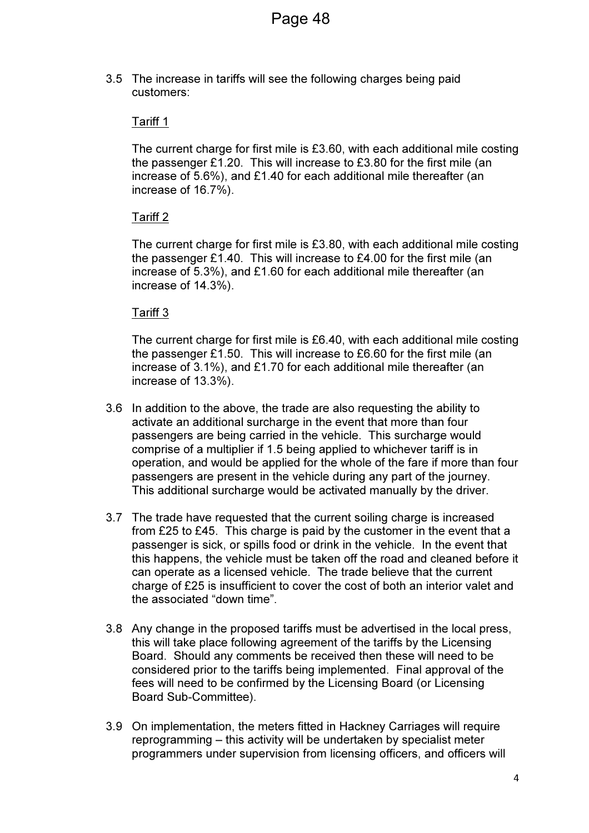3.5 The increase in tariffs will see the following charges being paid customers:

#### Tariff 1

The current charge for first mile is £3.60, with each additional mile costing the passenger £1.20. This will increase to £3.80 for the first mile (an increase of 5.6%), and £1.40 for each additional mile thereafter (an increase of 16.7%).

## Tariff 2

The current charge for first mile is £3.80, with each additional mile costing the passenger £1.40. This will increase to £4.00 for the first mile (an increase of 5.3%), and £1.60 for each additional mile thereafter (an increase of 14.3%).

#### Tariff 3

The current charge for first mile is £6.40, with each additional mile costing the passenger £1.50. This will increase to £6.60 for the first mile (an increase of 3.1%), and £1.70 for each additional mile thereafter (an increase of 13.3%).

- 3.6 In addition to the above, the trade are also requesting the ability to activate an additional surcharge in the event that more than four passengers are being carried in the vehicle. This surcharge would comprise of a multiplier if 1.5 being applied to whichever tariff is in operation, and would be applied for the whole of the fare if more than four passengers are present in the vehicle during any part of the journey. This additional surcharge would be activated manually by the driver.
- 3.7 The trade have requested that the current soiling charge is increased from £25 to £45. This charge is paid by the customer in the event that a passenger is sick, or spills food or drink in the vehicle. In the event that this happens, the vehicle must be taken off the road and cleaned before it can operate as a licensed vehicle. The trade believe that the current charge of £25 is insufficient to cover the cost of both an interior valet and the associated "down time".
- 3.8 Any change in the proposed tariffs must be advertised in the local press, this will take place following agreement of the tariffs by the Licensing Board. Should any comments be received then these will need to be considered prior to the tariffs being implemented. Final approval of the fees will need to be confirmed by the Licensing Board (or Licensing Board Sub-Committee).
- 3.9 On implementation, the meters fitted in Hackney Carriages will require reprogramming – this activity will be undertaken by specialist meter programmers under supervision from licensing officers, and officers will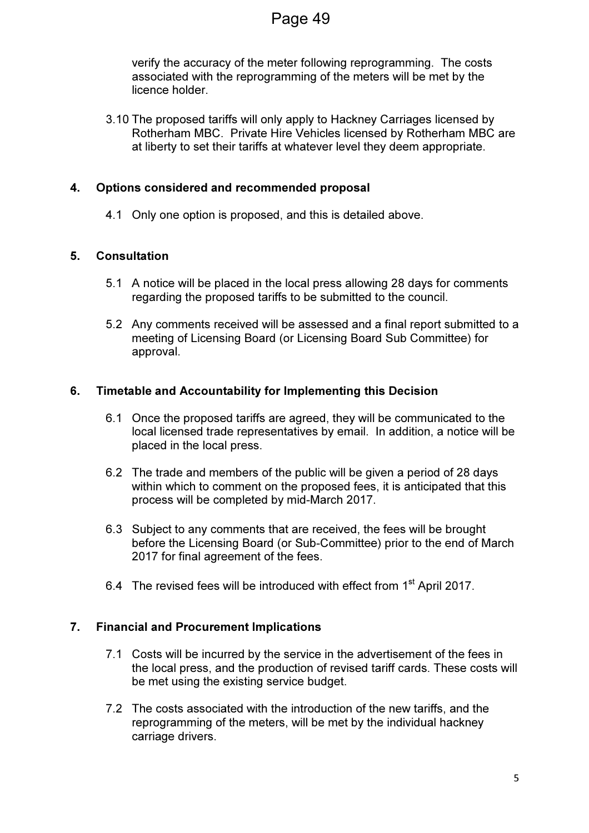verify the accuracy of the meter following reprogramming. The costs associated with the reprogramming of the meters will be met by the licence holder.

3.10 The proposed tariffs will only apply to Hackney Carriages licensed by Rotherham MBC. Private Hire Vehicles licensed by Rotherham MBC are at liberty to set their tariffs at whatever level they deem appropriate.

## 4. Options considered and recommended proposal

4.1 Only one option is proposed, and this is detailed above.

## 5. Consultation

- 5.1 A notice will be placed in the local press allowing 28 days for comments regarding the proposed tariffs to be submitted to the council.
- 5.2 Any comments received will be assessed and a final report submitted to a meeting of Licensing Board (or Licensing Board Sub Committee) for approval.

## 6. Timetable and Accountability for Implementing this Decision

- 6.1 Once the proposed tariffs are agreed, they will be communicated to the local licensed trade representatives by email. In addition, a notice will be placed in the local press.
- 6.2 The trade and members of the public will be given a period of 28 days within which to comment on the proposed fees, it is anticipated that this process will be completed by mid-March 2017.
- 6.3 Subject to any comments that are received, the fees will be brought before the Licensing Board (or Sub-Committee) prior to the end of March 2017 for final agreement of the fees.
- 6.4 The revised fees will be introduced with effect from 1<sup>st</sup> April 2017.

## 7. Financial and Procurement Implications

- 7.1 Costs will be incurred by the service in the advertisement of the fees in the local press, and the production of revised tariff cards. These costs will be met using the existing service budget.
- 7.2 The costs associated with the introduction of the new tariffs, and the reprogramming of the meters, will be met by the individual hackney carriage drivers.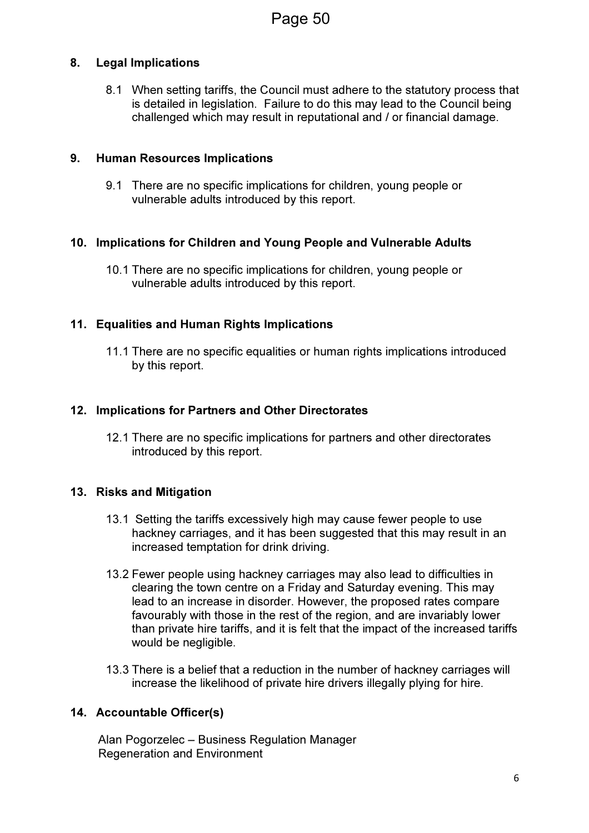## 8. Legal Implications

8.1 When setting tariffs, the Council must adhere to the statutory process that is detailed in legislation. Failure to do this may lead to the Council being challenged which may result in reputational and / or financial damage.

## 9. Human Resources Implications

9.1 There are no specific implications for children, young people or vulnerable adults introduced by this report.

## 10. Implications for Children and Young People and Vulnerable Adults

10.1 There are no specific implications for children, young people or vulnerable adults introduced by this report.

## 11. Equalities and Human Rights Implications

11.1 There are no specific equalities or human rights implications introduced by this report.

## 12. Implications for Partners and Other Directorates

12.1 There are no specific implications for partners and other directorates introduced by this report.

## 13. Risks and Mitigation

- 13.1 Setting the tariffs excessively high may cause fewer people to use hackney carriages, and it has been suggested that this may result in an increased temptation for drink driving.
- 13.2 Fewer people using hackney carriages may also lead to difficulties in clearing the town centre on a Friday and Saturday evening. This may lead to an increase in disorder. However, the proposed rates compare favourably with those in the rest of the region, and are invariably lower than private hire tariffs, and it is felt that the impact of the increased tariffs would be negligible.
- 13.3 There is a belief that a reduction in the number of hackney carriages will increase the likelihood of private hire drivers illegally plying for hire.

## 14. Accountable Officer(s)

 Alan Pogorzelec – Business Regulation Manager Regeneration and Environment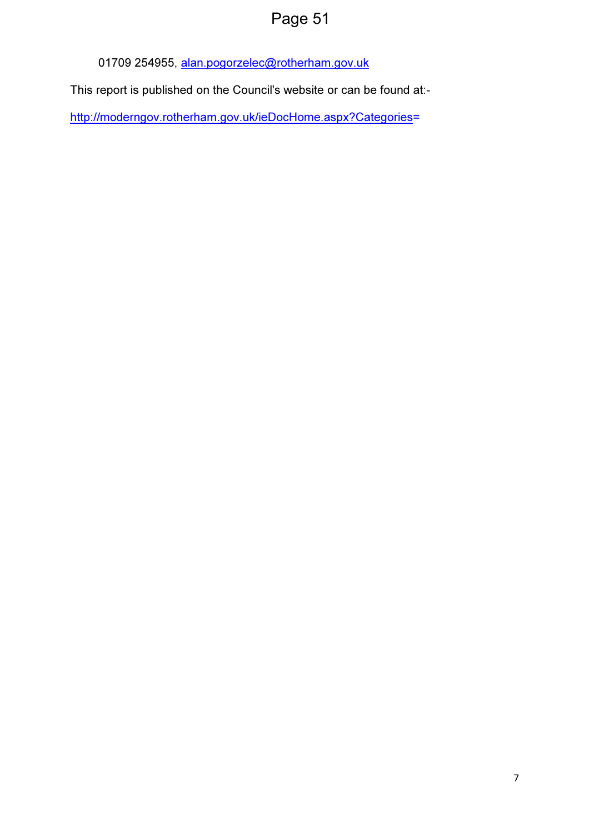# Page 51

01709 254955, alan.pogorzelec@rotherham.gov.uk

This report is published on the Council's website or can be found at:-

http://moderngov.rotherham.gov.uk/ieDocHome.aspx?Categories=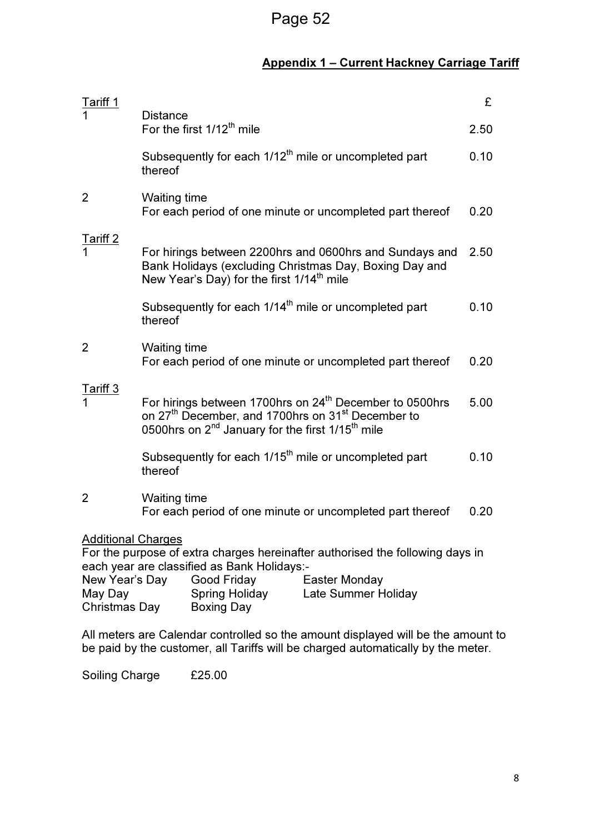## Appendix 1 – Current Hackney Carriage Tariff

| Tariff 1                                               |                                                                                                                                                                                                                                      |                                                                                                                       | £    |
|--------------------------------------------------------|--------------------------------------------------------------------------------------------------------------------------------------------------------------------------------------------------------------------------------------|-----------------------------------------------------------------------------------------------------------------------|------|
|                                                        | <b>Distance</b><br>For the first 1/12 <sup>th</sup> mile                                                                                                                                                                             |                                                                                                                       | 2.50 |
|                                                        | Subsequently for each 1/12 <sup>th</sup> mile or uncompleted part<br>thereof                                                                                                                                                         |                                                                                                                       | 0.10 |
| 2                                                      | <b>Waiting time</b><br>For each period of one minute or uncompleted part thereof                                                                                                                                                     |                                                                                                                       | 0.20 |
| Tariff 2                                               | Bank Holidays (excluding Christmas Day, Boxing Day and<br>New Year's Day) for the first 1/14 <sup>th</sup> mile                                                                                                                      | For hirings between 2200hrs and 0600hrs and Sundays and                                                               | 2.50 |
|                                                        | Subsequently for each 1/14 <sup>th</sup> mile or uncompleted part<br>thereof                                                                                                                                                         |                                                                                                                       | 0.10 |
| 2                                                      | <b>Waiting time</b><br>For each period of one minute or uncompleted part thereof                                                                                                                                                     |                                                                                                                       | 0.20 |
| Tariff 3                                               | For hirings between 1700hrs on 24 <sup>th</sup> December to 0500hrs<br>5.00<br>on 27 <sup>th</sup> December, and 1700hrs on 31 <sup>st</sup> December to<br>0500hrs on 2 <sup>nd</sup> January for the first 1/15 <sup>th</sup> mile |                                                                                                                       |      |
|                                                        | Subsequently for each 1/15 <sup>th</sup> mile or uncompleted part<br>thereof                                                                                                                                                         |                                                                                                                       | 0.10 |
| $\overline{2}$                                         | <b>Waiting time</b><br>For each period of one minute or uncompleted part thereof                                                                                                                                                     |                                                                                                                       | 0.20 |
| <b>Additional Charges</b><br>New Year's Day<br>May Day | each year are classified as Bank Holidays:-<br>Good Friday<br><b>Spring Holiday</b>                                                                                                                                                  | For the purpose of extra charges hereinafter authorised the following days in<br>Easter Monday<br>Late Summer Holiday |      |
| <b>Christmas Day</b>                                   | Boxing Day                                                                                                                                                                                                                           |                                                                                                                       |      |

All meters are Calendar controlled so the amount displayed will be the amount to be paid by the customer, all Tariffs will be charged automatically by the meter.

Soiling Charge £25.00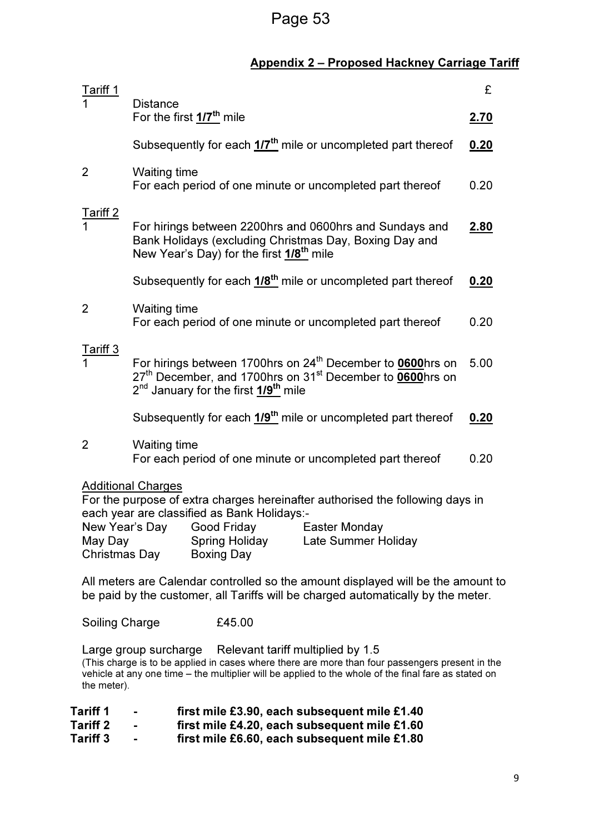## Page 53

## Appendix 2 – Proposed Hackney Carriage Tariff

| Tariff 1                                                                                                                                                                                                                                                                                              |                                                                                                                                                                                                                             | £           |  |
|-------------------------------------------------------------------------------------------------------------------------------------------------------------------------------------------------------------------------------------------------------------------------------------------------------|-----------------------------------------------------------------------------------------------------------------------------------------------------------------------------------------------------------------------------|-------------|--|
|                                                                                                                                                                                                                                                                                                       | <b>Distance</b><br>For the first 1/7 <sup>th</sup> mile                                                                                                                                                                     | <u>2.70</u> |  |
|                                                                                                                                                                                                                                                                                                       | Subsequently for each 1/7 <sup>th</sup> mile or uncompleted part thereof                                                                                                                                                    | 0.20        |  |
| 2                                                                                                                                                                                                                                                                                                     | <b>Waiting time</b><br>For each period of one minute or uncompleted part thereof                                                                                                                                            | 0.20        |  |
| <b>Fariff 2</b>                                                                                                                                                                                                                                                                                       | For hirings between 2200hrs and 0600hrs and Sundays and<br>Bank Holidays (excluding Christmas Day, Boxing Day and<br>New Year's Day) for the first 1/8 <sup>th</sup> mile                                                   | <u>2.80</u> |  |
|                                                                                                                                                                                                                                                                                                       | Subsequently for each 1/8 <sup>th</sup> mile or uncompleted part thereof                                                                                                                                                    | 0.20        |  |
| 2                                                                                                                                                                                                                                                                                                     | <b>Waiting time</b><br>For each period of one minute or uncompleted part thereof                                                                                                                                            | 0.20        |  |
| Fariff 3                                                                                                                                                                                                                                                                                              | For hirings between 1700hrs on 24 <sup>th</sup> December to 0600hrs on<br>27 <sup>th</sup> December, and 1700hrs on 31 <sup>st</sup> December to 0600hrs on<br>2 <sup>nd</sup> January for the first 1/9 <sup>th</sup> mile | 5.00        |  |
|                                                                                                                                                                                                                                                                                                       | Subsequently for each 1/9 <sup>th</sup> mile or uncompleted part thereof                                                                                                                                                    | 0.20        |  |
| 2                                                                                                                                                                                                                                                                                                     | <b>Waiting time</b><br>For each period of one minute or uncompleted part thereof                                                                                                                                            | 0.20        |  |
| <b>Additional Charges</b><br>For the purpose of extra charges hereinafter authorised the following days in<br>each year are classified as Bank Holidays:-<br>New Year's Day<br>Good Friday<br>Easter Monday<br><b>Spring Holiday</b><br>Late Summer Holiday<br>May Day<br>Christmas Day<br>Boxing Day |                                                                                                                                                                                                                             |             |  |
| All meters are Calendar controlled so the amount displayed will be the amount to<br>be paid by the customer, all Tariffs will be charged automatically by the meter.                                                                                                                                  |                                                                                                                                                                                                                             |             |  |
| <b>Soiling Charge</b>                                                                                                                                                                                                                                                                                 | £45.00                                                                                                                                                                                                                      |             |  |
|                                                                                                                                                                                                                                                                                                       |                                                                                                                                                                                                                             |             |  |

Large group surcharge Relevant tariff multiplied by 1.5 (This charge is to be applied in cases where there are more than four passengers present in the vehicle at any one time – the multiplier will be applied to the whole of the final fare as stated on the meter).

| <b>Tariff 1</b> | $\mathbf{r}$ | first mile £3.90, each subsequent mile £1.40 |
|-----------------|--------------|----------------------------------------------|
| Tariff 2        |              | first mile £4.20, each subsequent mile £1.60 |

Tariff 3 - first mile £6.60, each subsequent mile £1.80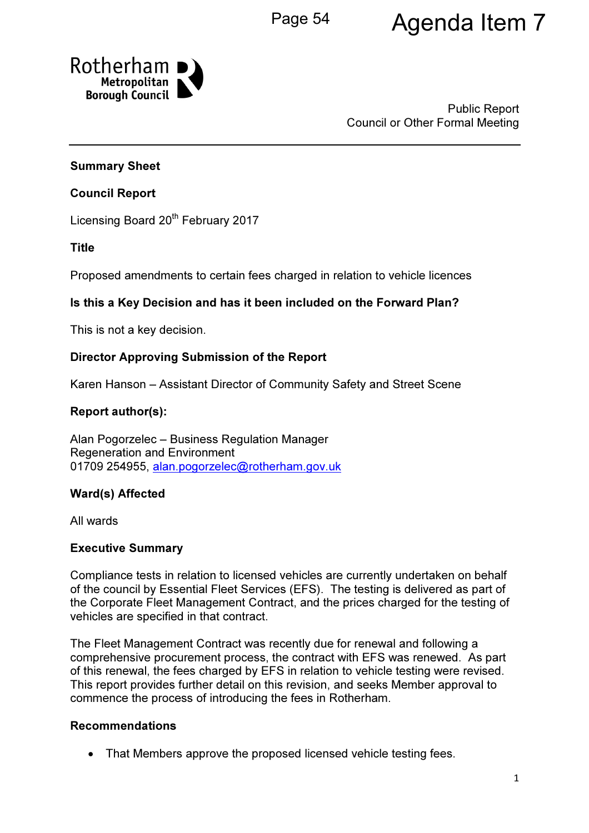# Page 54 **Agenda Item 7**



Public Report Council or Other Formal Meeting

## Summary Sheet

## Council Report

Licensing Board 20<sup>th</sup> February 2017

## Title

Proposed amendments to certain fees charged in relation to vehicle licences

## Is this a Key Decision and has it been included on the Forward Plan?

This is not a key decision.

## Director Approving Submission of the Report

Karen Hanson – Assistant Director of Community Safety and Street Scene

## Report author(s):

Alan Pogorzelec – Business Regulation Manager Regeneration and Environment 01709 254955, alan.pogorzelec@rotherham.gov.uk

## Ward(s) Affected

All wards

#### Executive Summary

Compliance tests in relation to licensed vehicles are currently undertaken on behalf of the council by Essential Fleet Services (EFS). The testing is delivered as part of the Corporate Fleet Management Contract, and the prices charged for the testing of vehicles are specified in that contract.

The Fleet Management Contract was recently due for renewal and following a comprehensive procurement process, the contract with EFS was renewed. As part of this renewal, the fees charged by EFS in relation to vehicle testing were revised. This report provides further detail on this revision, and seeks Member approval to commence the process of introducing the fees in Rotherham.

#### Recommendations

• That Members approve the proposed licensed vehicle testing fees.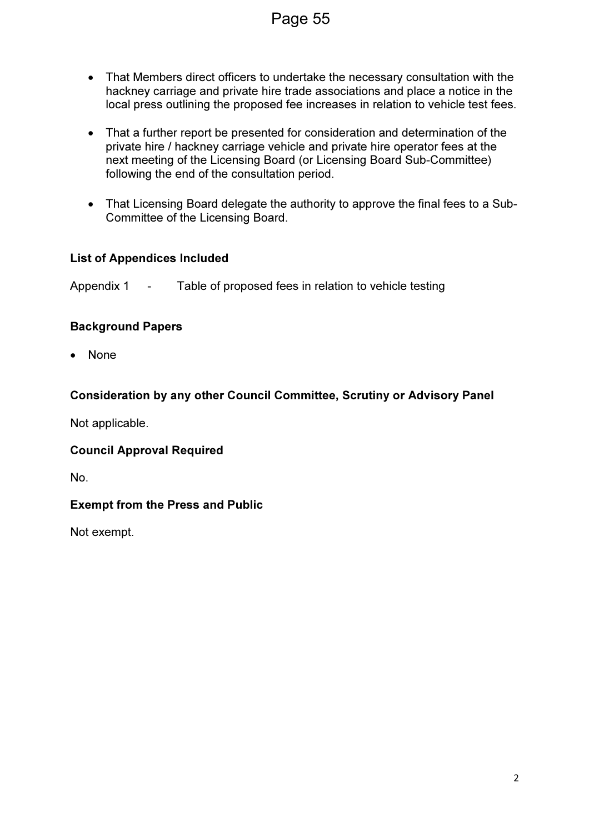- That Members direct officers to undertake the necessary consultation with the hackney carriage and private hire trade associations and place a notice in the local press outlining the proposed fee increases in relation to vehicle test fees.
- That a further report be presented for consideration and determination of the private hire / hackney carriage vehicle and private hire operator fees at the next meeting of the Licensing Board (or Licensing Board Sub-Committee) following the end of the consultation period.
- That Licensing Board delegate the authority to approve the final fees to a Sub-Committee of the Licensing Board.

## List of Appendices Included

Appendix 1 - Table of proposed fees in relation to vehicle testing

## Background Papers

• None

## Consideration by any other Council Committee, Scrutiny or Advisory Panel

Not applicable.

## Council Approval Required

No.

## Exempt from the Press and Public

Not exempt.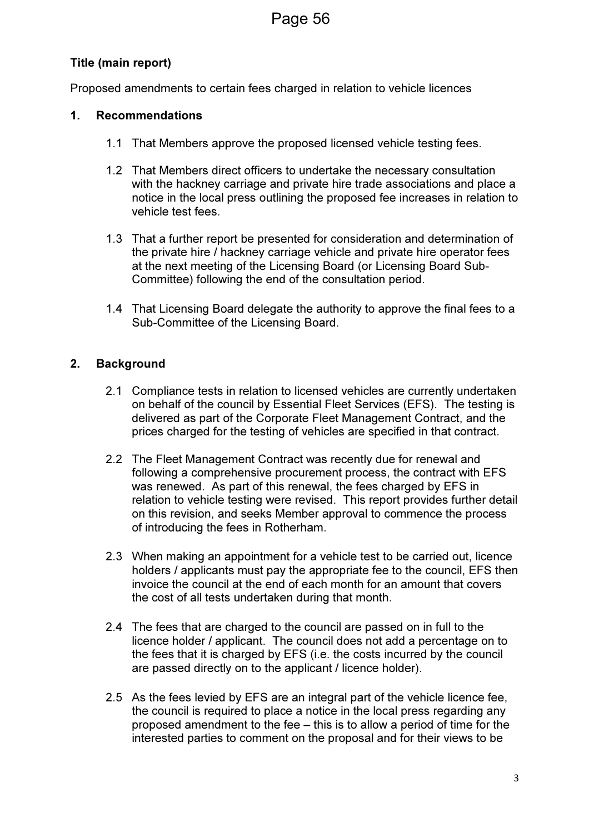## Title (main report)

Proposed amendments to certain fees charged in relation to vehicle licences

## 1. Recommendations

- 1.1 That Members approve the proposed licensed vehicle testing fees.
- 1.2 That Members direct officers to undertake the necessary consultation with the hackney carriage and private hire trade associations and place a notice in the local press outlining the proposed fee increases in relation to vehicle test fees.
- 1.3 That a further report be presented for consideration and determination of the private hire / hackney carriage vehicle and private hire operator fees at the next meeting of the Licensing Board (or Licensing Board Sub-Committee) following the end of the consultation period.
- 1.4 That Licensing Board delegate the authority to approve the final fees to a Sub-Committee of the Licensing Board.

## 2. Background

- 2.1 Compliance tests in relation to licensed vehicles are currently undertaken on behalf of the council by Essential Fleet Services (EFS). The testing is delivered as part of the Corporate Fleet Management Contract, and the prices charged for the testing of vehicles are specified in that contract.
- 2.2 The Fleet Management Contract was recently due for renewal and following a comprehensive procurement process, the contract with EFS was renewed. As part of this renewal, the fees charged by EFS in relation to vehicle testing were revised. This report provides further detail on this revision, and seeks Member approval to commence the process of introducing the fees in Rotherham.
- 2.3 When making an appointment for a vehicle test to be carried out, licence holders / applicants must pay the appropriate fee to the council. EFS then invoice the council at the end of each month for an amount that covers the cost of all tests undertaken during that month.
- 2.4 The fees that are charged to the council are passed on in full to the licence holder / applicant. The council does not add a percentage on to the fees that it is charged by EFS (i.e. the costs incurred by the council are passed directly on to the applicant / licence holder).
- 2.5 As the fees levied by EFS are an integral part of the vehicle licence fee, the council is required to place a notice in the local press regarding any proposed amendment to the fee – this is to allow a period of time for the interested parties to comment on the proposal and for their views to be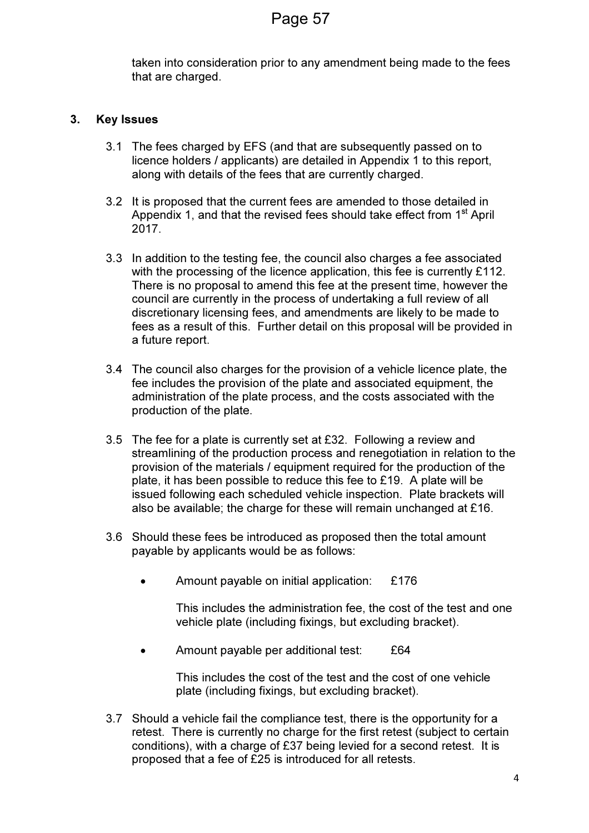taken into consideration prior to any amendment being made to the fees that are charged.

## 3. Key Issues

- 3.1 The fees charged by EFS (and that are subsequently passed on to licence holders / applicants) are detailed in Appendix 1 to this report, along with details of the fees that are currently charged.
- 3.2 It is proposed that the current fees are amended to those detailed in Appendix 1, and that the revised fees should take effect from  $1<sup>st</sup>$  April 2017.
- 3.3 In addition to the testing fee, the council also charges a fee associated with the processing of the licence application, this fee is currently £112. There is no proposal to amend this fee at the present time, however the council are currently in the process of undertaking a full review of all discretionary licensing fees, and amendments are likely to be made to fees as a result of this. Further detail on this proposal will be provided in a future report.
- 3.4 The council also charges for the provision of a vehicle licence plate, the fee includes the provision of the plate and associated equipment, the administration of the plate process, and the costs associated with the production of the plate.
- 3.5 The fee for a plate is currently set at £32. Following a review and streamlining of the production process and renegotiation in relation to the provision of the materials / equipment required for the production of the plate, it has been possible to reduce this fee to £19. A plate will be issued following each scheduled vehicle inspection. Plate brackets will also be available; the charge for these will remain unchanged at £16.
- 3.6 Should these fees be introduced as proposed then the total amount payable by applicants would be as follows:
	- Amount payable on initial application: £176

This includes the administration fee, the cost of the test and one vehicle plate (including fixings, but excluding bracket).

• Amount payable per additional test: £64

This includes the cost of the test and the cost of one vehicle plate (including fixings, but excluding bracket).

3.7 Should a vehicle fail the compliance test, there is the opportunity for a retest. There is currently no charge for the first retest (subject to certain conditions), with a charge of £37 being levied for a second retest. It is proposed that a fee of £25 is introduced for all retests.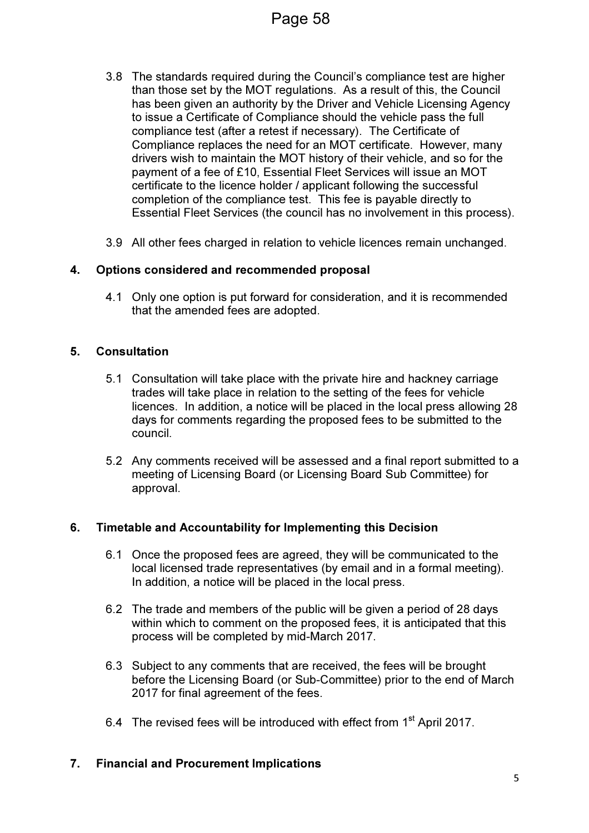- 3.8 The standards required during the Council's compliance test are higher than those set by the MOT regulations. As a result of this, the Council has been given an authority by the Driver and Vehicle Licensing Agency to issue a Certificate of Compliance should the vehicle pass the full compliance test (after a retest if necessary). The Certificate of Compliance replaces the need for an MOT certificate. However, many drivers wish to maintain the MOT history of their vehicle, and so for the payment of a fee of £10, Essential Fleet Services will issue an MOT certificate to the licence holder / applicant following the successful completion of the compliance test. This fee is payable directly to Essential Fleet Services (the council has no involvement in this process).
- 3.9 All other fees charged in relation to vehicle licences remain unchanged.

## 4. Options considered and recommended proposal

4.1 Only one option is put forward for consideration, and it is recommended that the amended fees are adopted.

#### 5. Consultation

- 5.1 Consultation will take place with the private hire and hackney carriage trades will take place in relation to the setting of the fees for vehicle licences. In addition, a notice will be placed in the local press allowing 28 days for comments regarding the proposed fees to be submitted to the council.
- 5.2 Any comments received will be assessed and a final report submitted to a meeting of Licensing Board (or Licensing Board Sub Committee) for approval.

#### 6. Timetable and Accountability for Implementing this Decision

- 6.1 Once the proposed fees are agreed, they will be communicated to the local licensed trade representatives (by email and in a formal meeting). In addition, a notice will be placed in the local press.
- 6.2 The trade and members of the public will be given a period of 28 days within which to comment on the proposed fees, it is anticipated that this process will be completed by mid-March 2017.
- 6.3 Subject to any comments that are received, the fees will be brought before the Licensing Board (or Sub-Committee) prior to the end of March 2017 for final agreement of the fees.
- 6.4 The revised fees will be introduced with effect from 1<sup>st</sup> April 2017.

#### 7. Financial and Procurement Implications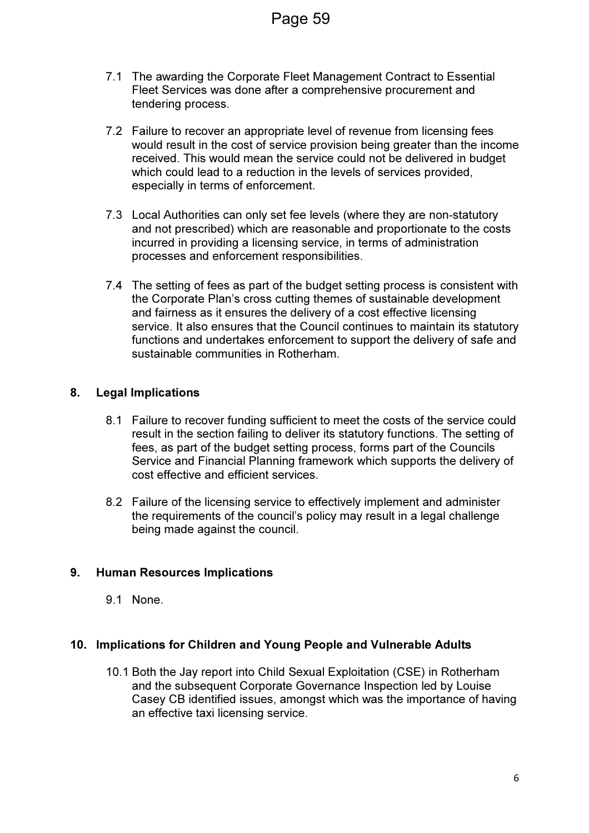- 7.1 The awarding the Corporate Fleet Management Contract to Essential Fleet Services was done after a comprehensive procurement and tendering process.
- 7.2 Failure to recover an appropriate level of revenue from licensing fees would result in the cost of service provision being greater than the income received. This would mean the service could not be delivered in budget which could lead to a reduction in the levels of services provided, especially in terms of enforcement.
- 7.3 Local Authorities can only set fee levels (where they are non-statutory and not prescribed) which are reasonable and proportionate to the costs incurred in providing a licensing service, in terms of administration processes and enforcement responsibilities.
- 7.4 The setting of fees as part of the budget setting process is consistent with the Corporate Plan's cross cutting themes of sustainable development and fairness as it ensures the delivery of a cost effective licensing service. It also ensures that the Council continues to maintain its statutory functions and undertakes enforcement to support the delivery of safe and sustainable communities in Rotherham.

## 8. Legal Implications

- 8.1 Failure to recover funding sufficient to meet the costs of the service could result in the section failing to deliver its statutory functions. The setting of fees, as part of the budget setting process, forms part of the Councils Service and Financial Planning framework which supports the delivery of cost effective and efficient services.
- 8.2 Failure of the licensing service to effectively implement and administer the requirements of the council's policy may result in a legal challenge being made against the council.

#### 9. Human Resources Implications

9.1 None.

#### 10. Implications for Children and Young People and Vulnerable Adults

10.1 Both the Jay report into Child Sexual Exploitation (CSE) in Rotherham and the subsequent Corporate Governance Inspection led by Louise Casey CB identified issues, amongst which was the importance of having an effective taxi licensing service.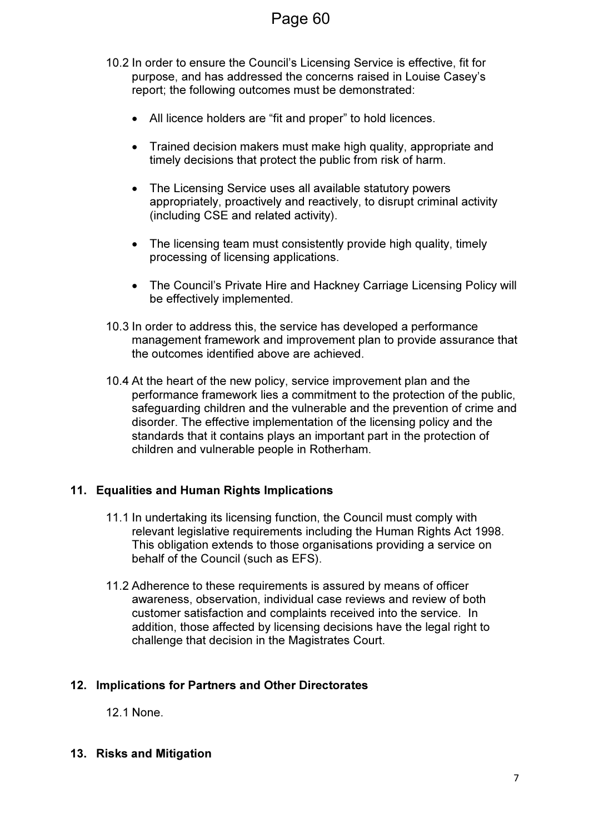- 10.2 In order to ensure the Council's Licensing Service is effective, fit for purpose, and has addressed the concerns raised in Louise Casey's report; the following outcomes must be demonstrated:
	- All licence holders are "fit and proper" to hold licences.
	- Trained decision makers must make high quality, appropriate and timely decisions that protect the public from risk of harm.
	- The Licensing Service uses all available statutory powers appropriately, proactively and reactively, to disrupt criminal activity (including CSE and related activity).
	- The licensing team must consistently provide high quality, timely processing of licensing applications.
	- The Council's Private Hire and Hackney Carriage Licensing Policy will be effectively implemented.
- 10.3 In order to address this, the service has developed a performance management framework and improvement plan to provide assurance that the outcomes identified above are achieved.
- 10.4 At the heart of the new policy, service improvement plan and the performance framework lies a commitment to the protection of the public, safeguarding children and the vulnerable and the prevention of crime and disorder. The effective implementation of the licensing policy and the standards that it contains plays an important part in the protection of children and vulnerable people in Rotherham.

## 11. Equalities and Human Rights Implications

- 11.1 In undertaking its licensing function, the Council must comply with relevant legislative requirements including the Human Rights Act 1998. This obligation extends to those organisations providing a service on behalf of the Council (such as EFS).
- 11.2 Adherence to these requirements is assured by means of officer awareness, observation, individual case reviews and review of both customer satisfaction and complaints received into the service. In addition, those affected by licensing decisions have the legal right to challenge that decision in the Magistrates Court.

## 12. Implications for Partners and Other Directorates

12.1 None.

13. Risks and Mitigation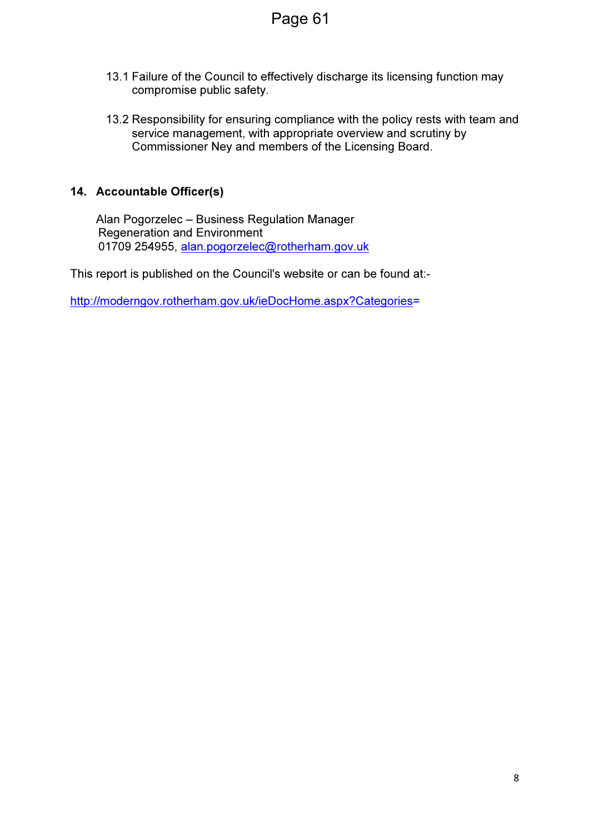- 13.1 Failure of the Council to effectively discharge its licensing function may compromise public safety.
- 13.2 Responsibility for ensuring compliance with the policy rests with team and service management, with appropriate overview and scrutiny by Commissioner Ney and members of the Licensing Board.

## 14. Accountable Officer(s)

Alan Pogorzelec – Business Regulation Manager Regeneration and Environment 01709 254955, alan.pogorzelec@rotherham.gov.uk

This report is published on the Council's website or can be found at:-

http://moderngov.rotherham.gov.uk/ieDocHome.aspx?Categories=